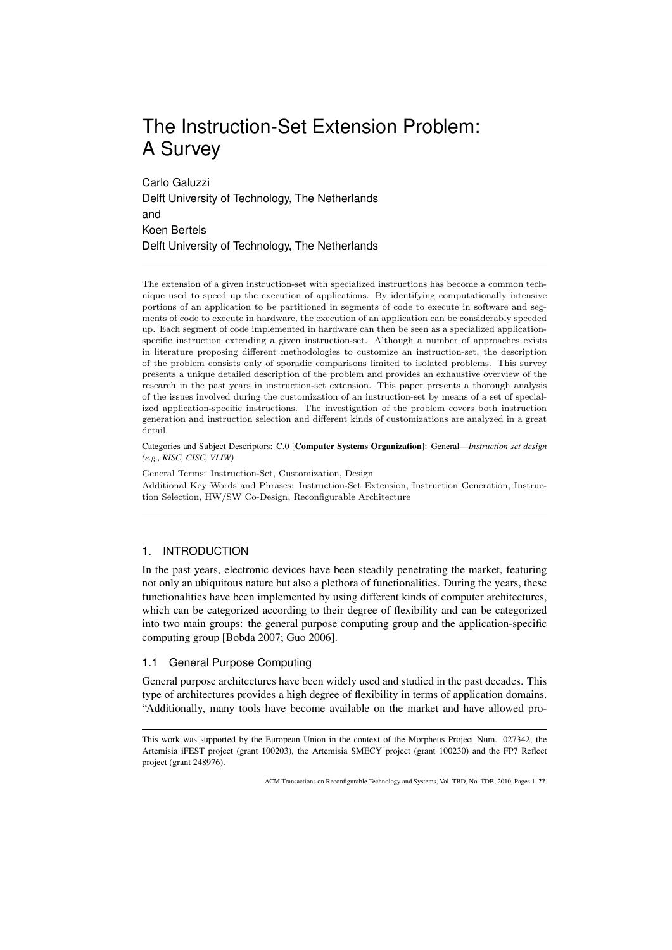# The Instruction-Set Extension Problem: A Survey

Carlo Galuzzi Delft University of Technology, The Netherlands and Koen Bertels Delft University of Technology, The Netherlands

The extension of a given instruction-set with specialized instructions has become a common technique used to speed up the execution of applications. By identifying computationally intensive portions of an application to be partitioned in segments of code to execute in software and segments of code to execute in hardware, the execution of an application can be considerably speeded up. Each segment of code implemented in hardware can then be seen as a specialized applicationspecific instruction extending a given instruction-set. Although a number of approaches exists in literature proposing different methodologies to customize an instruction-set, the description of the problem consists only of sporadic comparisons limited to isolated problems. This survey presents a unique detailed description of the problem and provides an exhaustive overview of the research in the past years in instruction-set extension. This paper presents a thorough analysis of the issues involved during the customization of an instruction-set by means of a set of specialized application-specific instructions. The investigation of the problem covers both instruction generation and instruction selection and different kinds of customizations are analyzed in a great detail.

Categories and Subject Descriptors: C.0 [Computer Systems Organization]: General—*Instruction set design (e.g., RISC, CISC, VLIW)*

General Terms: Instruction-Set, Customization, Design Additional Key Words and Phrases: Instruction-Set Extension, Instruction Generation, Instruction Selection, HW/SW Co-Design, Reconfigurable Architecture

## 1. INTRODUCTION

In the past years, electronic devices have been steadily penetrating the market, featuring not only an ubiquitous nature but also a plethora of functionalities. During the years, these functionalities have been implemented by using different kinds of computer architectures, which can be categorized according to their degree of flexibility and can be categorized into two main groups: the general purpose computing group and the application-specific computing group [Bobda 2007; Guo 2006].

## 1.1 General Purpose Computing

General purpose architectures have been widely used and studied in the past decades. This type of architectures provides a high degree of flexibility in terms of application domains. "Additionally, many tools have become available on the market and have allowed pro-

This work was supported by the European Union in the context of the Morpheus Project Num. 027342, the Artemisia iFEST project (grant 100203), the Artemisia SMECY project (grant 100230) and the FP7 Reflect project (grant 248976).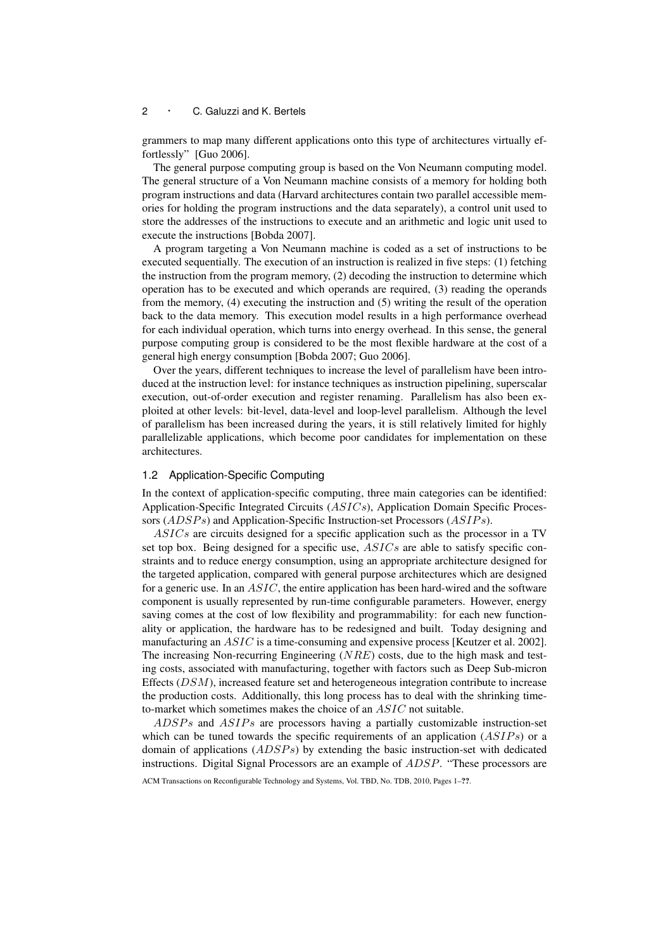grammers to map many different applications onto this type of architectures virtually effortlessly" [Guo 2006].

The general purpose computing group is based on the Von Neumann computing model. The general structure of a Von Neumann machine consists of a memory for holding both program instructions and data (Harvard architectures contain two parallel accessible memories for holding the program instructions and the data separately), a control unit used to store the addresses of the instructions to execute and an arithmetic and logic unit used to execute the instructions [Bobda 2007].

A program targeting a Von Neumann machine is coded as a set of instructions to be executed sequentially. The execution of an instruction is realized in five steps: (1) fetching the instruction from the program memory, (2) decoding the instruction to determine which operation has to be executed and which operands are required, (3) reading the operands from the memory, (4) executing the instruction and (5) writing the result of the operation back to the data memory. This execution model results in a high performance overhead for each individual operation, which turns into energy overhead. In this sense, the general purpose computing group is considered to be the most flexible hardware at the cost of a general high energy consumption [Bobda 2007; Guo 2006].

Over the years, different techniques to increase the level of parallelism have been introduced at the instruction level: for instance techniques as instruction pipelining, superscalar execution, out-of-order execution and register renaming. Parallelism has also been exploited at other levels: bit-level, data-level and loop-level parallelism. Although the level of parallelism has been increased during the years, it is still relatively limited for highly parallelizable applications, which become poor candidates for implementation on these architectures.

## 1.2 Application-Specific Computing

In the context of application-specific computing, three main categories can be identified: Application-Specific Integrated Circuits (*ASICs*), Application Domain Specific Processors (*ADSP s*) and Application-Specific Instruction-set Processors (*ASIP s*).

*ASICs* are circuits designed for a specific application such as the processor in a TV set top box. Being designed for a specific use, *ASICs* are able to satisfy specific constraints and to reduce energy consumption, using an appropriate architecture designed for the targeted application, compared with general purpose architectures which are designed for a generic use. In an *ASIC*, the entire application has been hard-wired and the software component is usually represented by run-time configurable parameters. However, energy saving comes at the cost of low flexibility and programmability: for each new functionality or application, the hardware has to be redesigned and built. Today designing and manufacturing an *ASIC* is a time-consuming and expensive process [Keutzer et al. 2002]. The increasing Non-recurring Engineering (*NRE*) costs, due to the high mask and testing costs, associated with manufacturing, together with factors such as Deep Sub-micron Effects (*DSM*), increased feature set and heterogeneous integration contribute to increase the production costs. Additionally, this long process has to deal with the shrinking timeto-market which sometimes makes the choice of an *ASIC* not suitable.

*ADSP s* and *ASIP s* are processors having a partially customizable instruction-set which can be tuned towards the specific requirements of an application (*ASIPs*) or a domain of applications (*ADSP s*) by extending the basic instruction-set with dedicated instructions. Digital Signal Processors are an example of *ADSP*. "These processors are

ACM Transactions on Reconfigurable Technology and Systems, Vol. TBD, No. TDB, 2010, Pages 1–??.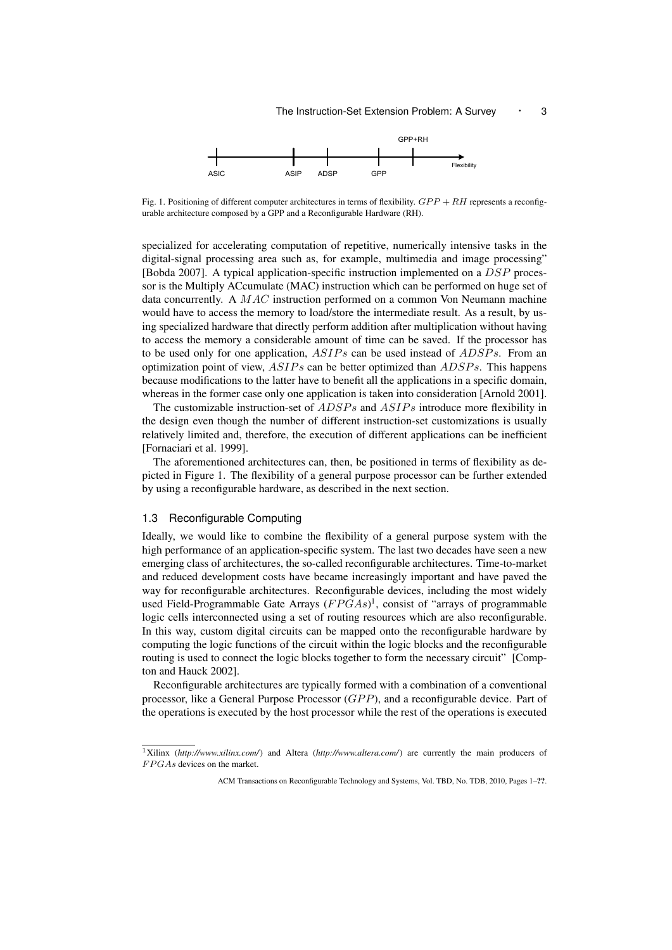

Fig. 1. Positioning of different computer architectures in terms of flexibility. *GP P* + *RH* represents a reconfigurable architecture composed by a GPP and a Reconfigurable Hardware (RH).

specialized for accelerating computation of repetitive, numerically intensive tasks in the digital-signal processing area such as, for example, multimedia and image processing" [Bobda 2007]. A typical application-specific instruction implemented on a *DSP* processor is the Multiply ACcumulate (MAC) instruction which can be performed on huge set of data concurrently. A *MAC* instruction performed on a common Von Neumann machine would have to access the memory to load/store the intermediate result. As a result, by using specialized hardware that directly perform addition after multiplication without having to access the memory a considerable amount of time can be saved. If the processor has to be used only for one application, *ASIP s* can be used instead of *ADSP s*. From an optimization point of view, *ASIP s* can be better optimized than *ADSP s*. This happens because modifications to the latter have to benefit all the applications in a specific domain, whereas in the former case only one application is taken into consideration [Arnold 2001].

The customizable instruction-set of *ADSP s* and *ASIP s* introduce more flexibility in the design even though the number of different instruction-set customizations is usually relatively limited and, therefore, the execution of different applications can be inefficient [Fornaciari et al. 1999].

The aforementioned architectures can, then, be positioned in terms of flexibility as depicted in Figure 1. The flexibility of a general purpose processor can be further extended by using a reconfigurable hardware, as described in the next section.

## 1.3 Reconfigurable Computing

Ideally, we would like to combine the flexibility of a general purpose system with the high performance of an application-specific system. The last two decades have seen a new emerging class of architectures, the so-called reconfigurable architectures. Time-to-market and reduced development costs have became increasingly important and have paved the way for reconfigurable architectures. Reconfigurable devices, including the most widely used Field-Programmable Gate Arrays ( $FPGAs$ <sup>)</sup>, consist of "arrays of programmable logic cells interconnected using a set of routing resources which are also reconfigurable. In this way, custom digital circuits can be mapped onto the reconfigurable hardware by computing the logic functions of the circuit within the logic blocks and the reconfigurable routing is used to connect the logic blocks together to form the necessary circuit" [Compton and Hauck 2002].

Reconfigurable architectures are typically formed with a combination of a conventional processor, like a General Purpose Processor (*GP P*), and a reconfigurable device. Part of the operations is executed by the host processor while the rest of the operations is executed

<sup>1</sup>Xilinx (*http://www.xilinx.com/*) and Altera (*http://www.altera.com/*) are currently the main producers of *FPGAs* devices on the market.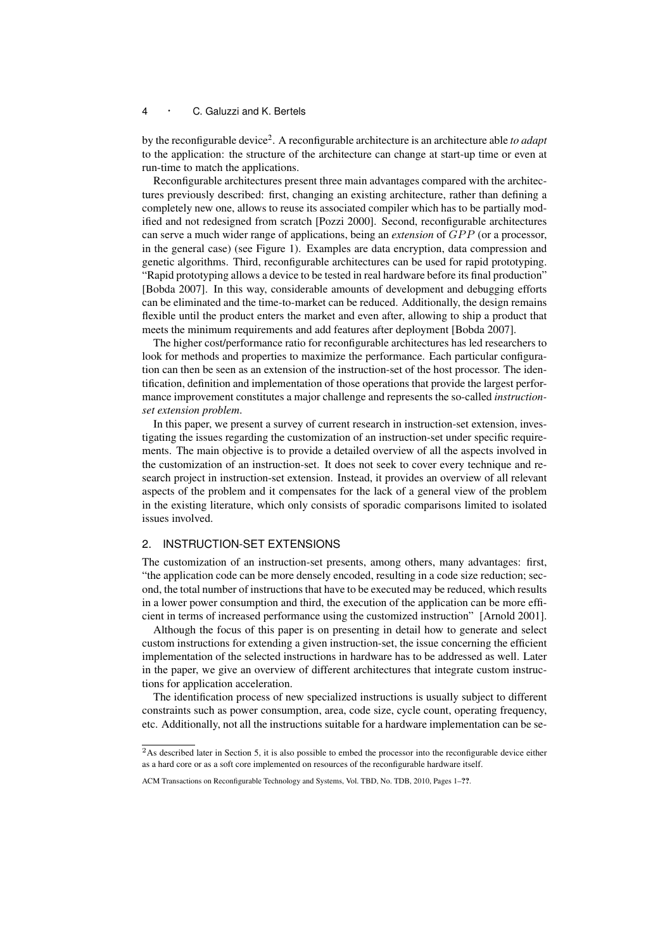by the reconfigurable device<sup>2</sup>. A reconfigurable architecture is an architecture able *to adapt* to the application: the structure of the architecture can change at start-up time or even at run-time to match the applications.

Reconfigurable architectures present three main advantages compared with the architectures previously described: first, changing an existing architecture, rather than defining a completely new one, allows to reuse its associated compiler which has to be partially modified and not redesigned from scratch [Pozzi 2000]. Second, reconfigurable architectures can serve a much wider range of applications, being an *extension* of *GP P* (or a processor, in the general case) (see Figure 1). Examples are data encryption, data compression and genetic algorithms. Third, reconfigurable architectures can be used for rapid prototyping. "Rapid prototyping allows a device to be tested in real hardware before its final production" [Bobda 2007]. In this way, considerable amounts of development and debugging efforts can be eliminated and the time-to-market can be reduced. Additionally, the design remains flexible until the product enters the market and even after, allowing to ship a product that meets the minimum requirements and add features after deployment [Bobda 2007].

The higher cost/performance ratio for reconfigurable architectures has led researchers to look for methods and properties to maximize the performance. Each particular configuration can then be seen as an extension of the instruction-set of the host processor. The identification, definition and implementation of those operations that provide the largest performance improvement constitutes a major challenge and represents the so-called *instructionset extension problem*.

In this paper, we present a survey of current research in instruction-set extension, investigating the issues regarding the customization of an instruction-set under specific requirements. The main objective is to provide a detailed overview of all the aspects involved in the customization of an instruction-set. It does not seek to cover every technique and research project in instruction-set extension. Instead, it provides an overview of all relevant aspects of the problem and it compensates for the lack of a general view of the problem in the existing literature, which only consists of sporadic comparisons limited to isolated issues involved.

#### 2. INSTRUCTION-SET EXTENSIONS

The customization of an instruction-set presents, among others, many advantages: first, "the application code can be more densely encoded, resulting in a code size reduction; second, the total number of instructions that have to be executed may be reduced, which results in a lower power consumption and third, the execution of the application can be more efficient in terms of increased performance using the customized instruction" [Arnold 2001].

Although the focus of this paper is on presenting in detail how to generate and select custom instructions for extending a given instruction-set, the issue concerning the efficient implementation of the selected instructions in hardware has to be addressed as well. Later in the paper, we give an overview of different architectures that integrate custom instructions for application acceleration.

The identification process of new specialized instructions is usually subject to different constraints such as power consumption, area, code size, cycle count, operating frequency, etc. Additionally, not all the instructions suitable for a hardware implementation can be se-

<sup>&</sup>lt;sup>2</sup>As described later in Section 5, it is also possible to embed the processor into the reconfigurable device either as a hard core or as a soft core implemented on resources of the reconfigurable hardware itself.

ACM Transactions on Reconfigurable Technology and Systems, Vol. TBD, No. TDB, 2010, Pages 1–??.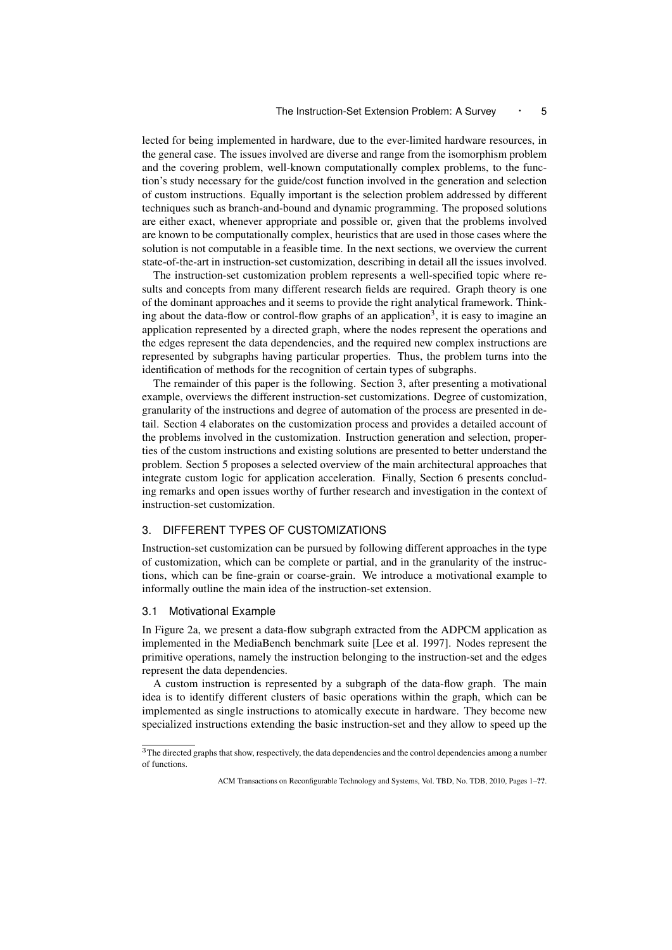lected for being implemented in hardware, due to the ever-limited hardware resources, in the general case. The issues involved are diverse and range from the isomorphism problem and the covering problem, well-known computationally complex problems, to the function's study necessary for the guide/cost function involved in the generation and selection of custom instructions. Equally important is the selection problem addressed by different techniques such as branch-and-bound and dynamic programming. The proposed solutions are either exact, whenever appropriate and possible or, given that the problems involved are known to be computationally complex, heuristics that are used in those cases where the solution is not computable in a feasible time. In the next sections, we overview the current state-of-the-art in instruction-set customization, describing in detail all the issues involved.

The instruction-set customization problem represents a well-specified topic where results and concepts from many different research fields are required. Graph theory is one of the dominant approaches and it seems to provide the right analytical framework. Thinking about the data-flow or control-flow graphs of an application<sup>3</sup>, it is easy to imagine an application represented by a directed graph, where the nodes represent the operations and the edges represent the data dependencies, and the required new complex instructions are represented by subgraphs having particular properties. Thus, the problem turns into the identification of methods for the recognition of certain types of subgraphs.

The remainder of this paper is the following. Section 3, after presenting a motivational example, overviews the different instruction-set customizations. Degree of customization, granularity of the instructions and degree of automation of the process are presented in detail. Section 4 elaborates on the customization process and provides a detailed account of the problems involved in the customization. Instruction generation and selection, properties of the custom instructions and existing solutions are presented to better understand the problem. Section 5 proposes a selected overview of the main architectural approaches that integrate custom logic for application acceleration. Finally, Section 6 presents concluding remarks and open issues worthy of further research and investigation in the context of instruction-set customization.

## 3. DIFFERENT TYPES OF CUSTOMIZATIONS

Instruction-set customization can be pursued by following different approaches in the type of customization, which can be complete or partial, and in the granularity of the instructions, which can be fine-grain or coarse-grain. We introduce a motivational example to informally outline the main idea of the instruction-set extension.

#### 3.1 Motivational Example

In Figure 2a, we present a data-flow subgraph extracted from the ADPCM application as implemented in the MediaBench benchmark suite [Lee et al. 1997]. Nodes represent the primitive operations, namely the instruction belonging to the instruction-set and the edges represent the data dependencies.

A custom instruction is represented by a subgraph of the data-flow graph. The main idea is to identify different clusters of basic operations within the graph, which can be implemented as single instructions to atomically execute in hardware. They become new specialized instructions extending the basic instruction-set and they allow to speed up the

<sup>&</sup>lt;sup>3</sup>The directed graphs that show, respectively, the data dependencies and the control dependencies among a number of functions.

ACM Transactions on Reconfigurable Technology and Systems, Vol. TBD, No. TDB, 2010, Pages 1–??.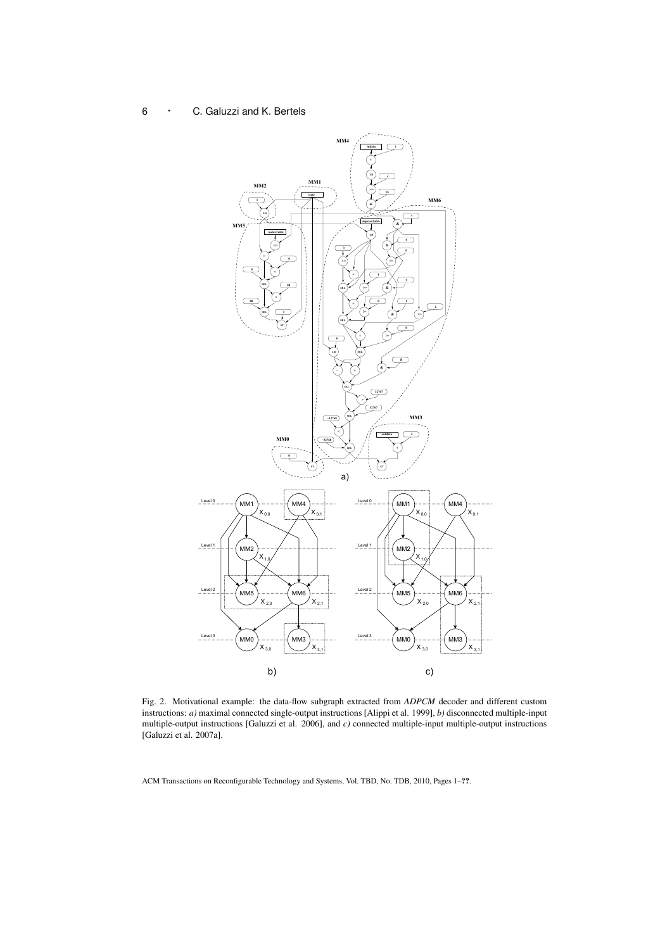

Fig. 2. Motivational example: the data-flow subgraph extracted from *ADPCM* decoder and different custom instructions: *a)* maximal connected single-output instructions [Alippi et al. 1999], *b)* disconnected multiple-input multiple-output instructions [Galuzzi et al. 2006], and *c)* connected multiple-input multiple-output instructions [Galuzzi et al. 2007a].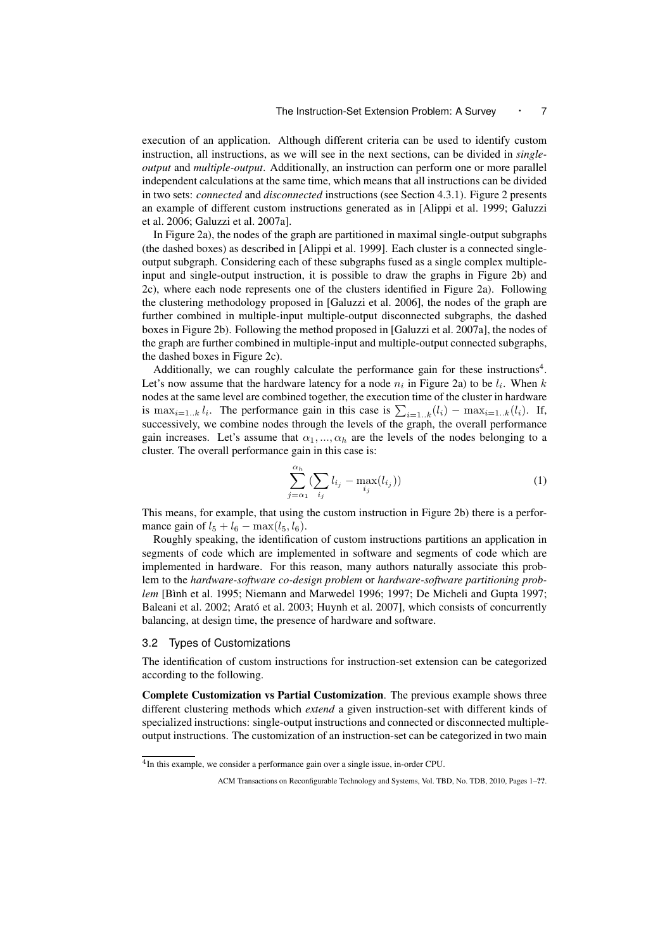execution of an application. Although different criteria can be used to identify custom instruction, all instructions, as we will see in the next sections, can be divided in *singleoutput* and *multiple-output*. Additionally, an instruction can perform one or more parallel independent calculations at the same time, which means that all instructions can be divided in two sets: *connected* and *disconnected* instructions (see Section 4.3.1). Figure 2 presents an example of different custom instructions generated as in [Alippi et al. 1999; Galuzzi et al. 2006; Galuzzi et al. 2007a].

In Figure 2a), the nodes of the graph are partitioned in maximal single-output subgraphs (the dashed boxes) as described in [Alippi et al. 1999]. Each cluster is a connected singleoutput subgraph. Considering each of these subgraphs fused as a single complex multipleinput and single-output instruction, it is possible to draw the graphs in Figure 2b) and 2c), where each node represents one of the clusters identified in Figure 2a). Following the clustering methodology proposed in [Galuzzi et al. 2006], the nodes of the graph are further combined in multiple-input multiple-output disconnected subgraphs, the dashed boxes in Figure 2b). Following the method proposed in [Galuzzi et al. 2007a], the nodes of the graph are further combined in multiple-input and multiple-output connected subgraphs, the dashed boxes in Figure 2c).

Additionally, we can roughly calculate the performance gain for these instructions<sup>4</sup>. Let's now assume that the hardware latency for a node  $n_i$  in Figure 2a) to be  $l_i$ . When  $k$ nodes at the same level are combined together, the execution time of the cluster in hardware is max<sub>*i*=1*.k*</sub> $l_i$ . The performance gain in this case is  $\sum_{i=1..k} (l_i) - \max_{i=1..k} (l_i)$ . If, successively, we combine nodes through the levels of the graph, the overall performance gain increases. Let's assume that  $\alpha_1, \ldots, \alpha_h$  are the levels of the nodes belonging to a cluster. The overall performance gain in this case is:

$$
\sum_{j=\alpha_1}^{\alpha_h} \left( \sum_{i_j} l_{i_j} - \max_{i_j} (l_{i_j}) \right) \tag{1}
$$

This means, for example, that using the custom instruction in Figure 2b) there is a performance gain of  $l_5 + l_6 - \max(l_5, l_6)$ .

Roughly speaking, the identification of custom instructions partitions an application in segments of code which are implemented in software and segments of code which are implemented in hardware. For this reason, many authors naturally associate this problem to the *hardware-software co-design problem* or *hardware-software partitioning problem* [Bình et al. 1995; Niemann and Marwedel 1996; 1997; De Micheli and Gupta 1997; Baleani et al. 2002; Arato et al. 2003; Huynh et al. 2007], which consists of concurrently balancing, at design time, the presence of hardware and software.

#### 3.2 Types of Customizations

The identification of custom instructions for instruction-set extension can be categorized according to the following.

Complete Customization vs Partial Customization. The previous example shows three different clustering methods which *extend* a given instruction-set with different kinds of specialized instructions: single-output instructions and connected or disconnected multipleoutput instructions. The customization of an instruction-set can be categorized in two main

<sup>&</sup>lt;sup>4</sup>In this example, we consider a performance gain over a single issue, in-order CPU.

ACM Transactions on Reconfigurable Technology and Systems, Vol. TBD, No. TDB, 2010, Pages 1–??.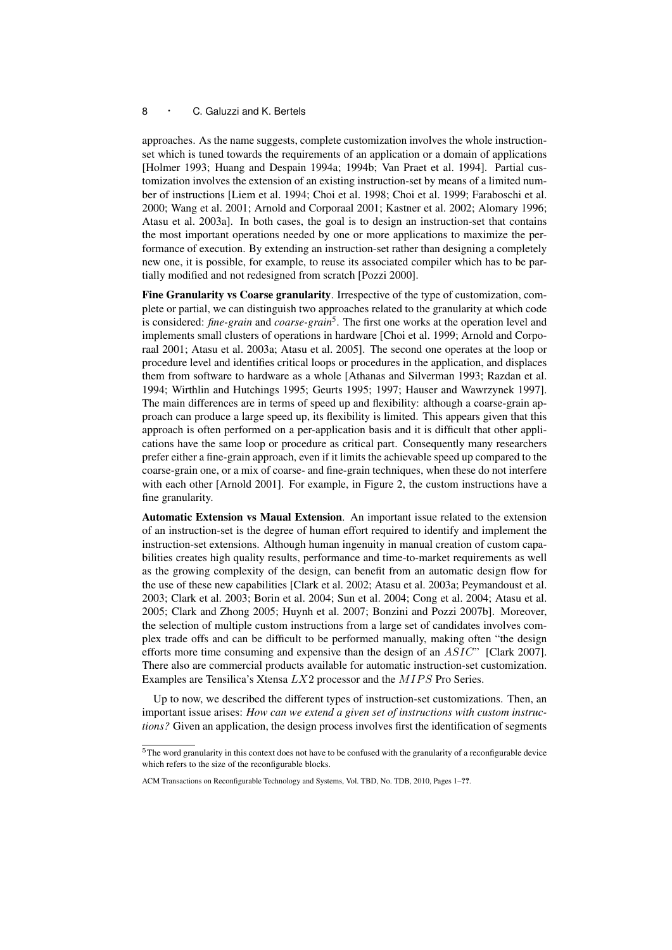approaches. As the name suggests, complete customization involves the whole instructionset which is tuned towards the requirements of an application or a domain of applications [Holmer 1993; Huang and Despain 1994a; 1994b; Van Praet et al. 1994]. Partial customization involves the extension of an existing instruction-set by means of a limited number of instructions [Liem et al. 1994; Choi et al. 1998; Choi et al. 1999; Faraboschi et al. 2000; Wang et al. 2001; Arnold and Corporaal 2001; Kastner et al. 2002; Alomary 1996; Atasu et al. 2003a]. In both cases, the goal is to design an instruction-set that contains the most important operations needed by one or more applications to maximize the performance of execution. By extending an instruction-set rather than designing a completely new one, it is possible, for example, to reuse its associated compiler which has to be partially modified and not redesigned from scratch [Pozzi 2000].

Fine Granularity vs Coarse granularity. Irrespective of the type of customization, complete or partial, we can distinguish two approaches related to the granularity at which code is considered: *fine-grain* and *coarse-grain*<sup>5</sup> . The first one works at the operation level and implements small clusters of operations in hardware [Choi et al. 1999; Arnold and Corporaal 2001; Atasu et al. 2003a; Atasu et al. 2005]. The second one operates at the loop or procedure level and identifies critical loops or procedures in the application, and displaces them from software to hardware as a whole [Athanas and Silverman 1993; Razdan et al. 1994; Wirthlin and Hutchings 1995; Geurts 1995; 1997; Hauser and Wawrzynek 1997]. The main differences are in terms of speed up and flexibility: although a coarse-grain approach can produce a large speed up, its flexibility is limited. This appears given that this approach is often performed on a per-application basis and it is difficult that other applications have the same loop or procedure as critical part. Consequently many researchers prefer either a fine-grain approach, even if it limits the achievable speed up compared to the coarse-grain one, or a mix of coarse- and fine-grain techniques, when these do not interfere with each other [Arnold 2001]. For example, in Figure 2, the custom instructions have a fine granularity.

Automatic Extension vs Maual Extension. An important issue related to the extension of an instruction-set is the degree of human effort required to identify and implement the instruction-set extensions. Although human ingenuity in manual creation of custom capabilities creates high quality results, performance and time-to-market requirements as well as the growing complexity of the design, can benefit from an automatic design flow for the use of these new capabilities [Clark et al. 2002; Atasu et al. 2003a; Peymandoust et al. 2003; Clark et al. 2003; Borin et al. 2004; Sun et al. 2004; Cong et al. 2004; Atasu et al. 2005; Clark and Zhong 2005; Huynh et al. 2007; Bonzini and Pozzi 2007b]. Moreover, the selection of multiple custom instructions from a large set of candidates involves complex trade offs and can be difficult to be performed manually, making often "the design efforts more time consuming and expensive than the design of an *ASIC*" [Clark 2007]. There also are commercial products available for automatic instruction-set customization. Examples are Tensilica's Xtensa *LX*2 processor and the *MIP S* Pro Series.

Up to now, we described the different types of instruction-set customizations. Then, an important issue arises: *How can we extend a given set of instructions with custom instructions?* Given an application, the design process involves first the identification of segments

<sup>5</sup>The word granularity in this context does not have to be confused with the granularity of a reconfigurable device which refers to the size of the reconfigurable blocks.

ACM Transactions on Reconfigurable Technology and Systems, Vol. TBD, No. TDB, 2010, Pages 1–??.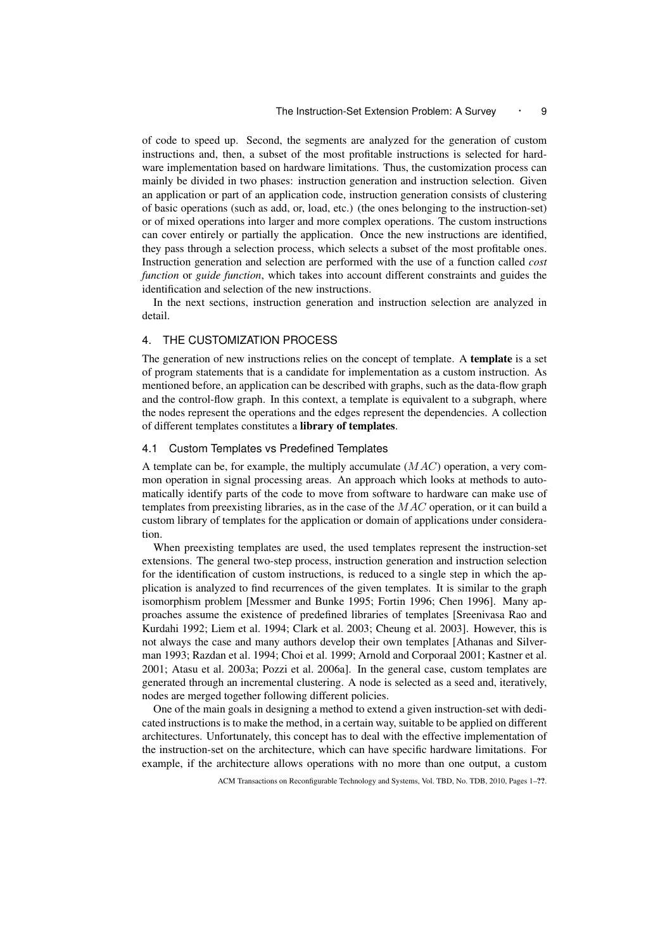of code to speed up. Second, the segments are analyzed for the generation of custom instructions and, then, a subset of the most profitable instructions is selected for hardware implementation based on hardware limitations. Thus, the customization process can mainly be divided in two phases: instruction generation and instruction selection. Given an application or part of an application code, instruction generation consists of clustering of basic operations (such as add, or, load, etc.) (the ones belonging to the instruction-set) or of mixed operations into larger and more complex operations. The custom instructions can cover entirely or partially the application. Once the new instructions are identified, they pass through a selection process, which selects a subset of the most profitable ones. Instruction generation and selection are performed with the use of a function called *cost function* or *guide function*, which takes into account different constraints and guides the identification and selection of the new instructions.

In the next sections, instruction generation and instruction selection are analyzed in detail.

## 4. THE CUSTOMIZATION PROCESS

The generation of new instructions relies on the concept of template. A template is a set of program statements that is a candidate for implementation as a custom instruction. As mentioned before, an application can be described with graphs, such as the data-flow graph and the control-flow graph. In this context, a template is equivalent to a subgraph, where the nodes represent the operations and the edges represent the dependencies. A collection of different templates constitutes a library of templates.

#### 4.1 Custom Templates vs Predefined Templates

A template can be, for example, the multiply accumulate (*MAC*) operation, a very common operation in signal processing areas. An approach which looks at methods to automatically identify parts of the code to move from software to hardware can make use of templates from preexisting libraries, as in the case of the *MAC* operation, or it can build a custom library of templates for the application or domain of applications under consideration.

When preexisting templates are used, the used templates represent the instruction-set extensions. The general two-step process, instruction generation and instruction selection for the identification of custom instructions, is reduced to a single step in which the application is analyzed to find recurrences of the given templates. It is similar to the graph isomorphism problem [Messmer and Bunke 1995; Fortin 1996; Chen 1996]. Many approaches assume the existence of predefined libraries of templates [Sreenivasa Rao and Kurdahi 1992; Liem et al. 1994; Clark et al. 2003; Cheung et al. 2003]. However, this is not always the case and many authors develop their own templates [Athanas and Silverman 1993; Razdan et al. 1994; Choi et al. 1999; Arnold and Corporaal 2001; Kastner et al. 2001; Atasu et al. 2003a; Pozzi et al. 2006a]. In the general case, custom templates are generated through an incremental clustering. A node is selected as a seed and, iteratively, nodes are merged together following different policies.

One of the main goals in designing a method to extend a given instruction-set with dedicated instructions is to make the method, in a certain way, suitable to be applied on different architectures. Unfortunately, this concept has to deal with the effective implementation of the instruction-set on the architecture, which can have specific hardware limitations. For example, if the architecture allows operations with no more than one output, a custom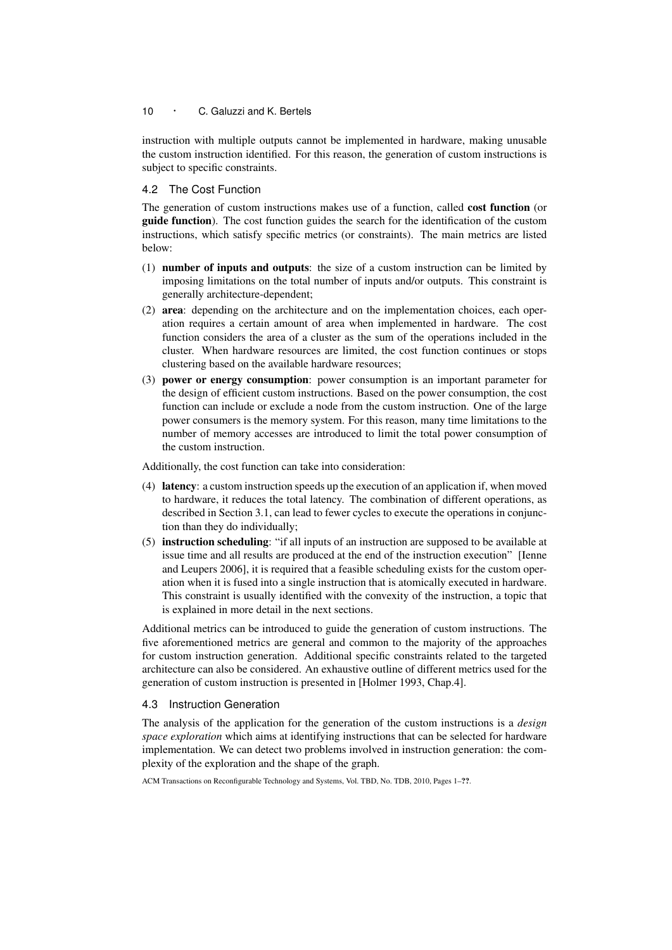instruction with multiple outputs cannot be implemented in hardware, making unusable the custom instruction identified. For this reason, the generation of custom instructions is subject to specific constraints.

## 4.2 The Cost Function

The generation of custom instructions makes use of a function, called cost function (or guide function). The cost function guides the search for the identification of the custom instructions, which satisfy specific metrics (or constraints). The main metrics are listed below:

- (1) number of inputs and outputs: the size of a custom instruction can be limited by imposing limitations on the total number of inputs and/or outputs. This constraint is generally architecture-dependent;
- (2) area: depending on the architecture and on the implementation choices, each operation requires a certain amount of area when implemented in hardware. The cost function considers the area of a cluster as the sum of the operations included in the cluster. When hardware resources are limited, the cost function continues or stops clustering based on the available hardware resources;
- (3) power or energy consumption: power consumption is an important parameter for the design of efficient custom instructions. Based on the power consumption, the cost function can include or exclude a node from the custom instruction. One of the large power consumers is the memory system. For this reason, many time limitations to the number of memory accesses are introduced to limit the total power consumption of the custom instruction.

Additionally, the cost function can take into consideration:

- (4) latency: a custom instruction speeds up the execution of an application if, when moved to hardware, it reduces the total latency. The combination of different operations, as described in Section 3.1, can lead to fewer cycles to execute the operations in conjunction than they do individually;
- (5) instruction scheduling: "if all inputs of an instruction are supposed to be available at issue time and all results are produced at the end of the instruction execution" [Ienne and Leupers 2006], it is required that a feasible scheduling exists for the custom operation when it is fused into a single instruction that is atomically executed in hardware. This constraint is usually identified with the convexity of the instruction, a topic that is explained in more detail in the next sections.

Additional metrics can be introduced to guide the generation of custom instructions. The five aforementioned metrics are general and common to the majority of the approaches for custom instruction generation. Additional specific constraints related to the targeted architecture can also be considered. An exhaustive outline of different metrics used for the generation of custom instruction is presented in [Holmer 1993, Chap.4].

#### 4.3 Instruction Generation

The analysis of the application for the generation of the custom instructions is a *design space exploration* which aims at identifying instructions that can be selected for hardware implementation. We can detect two problems involved in instruction generation: the complexity of the exploration and the shape of the graph.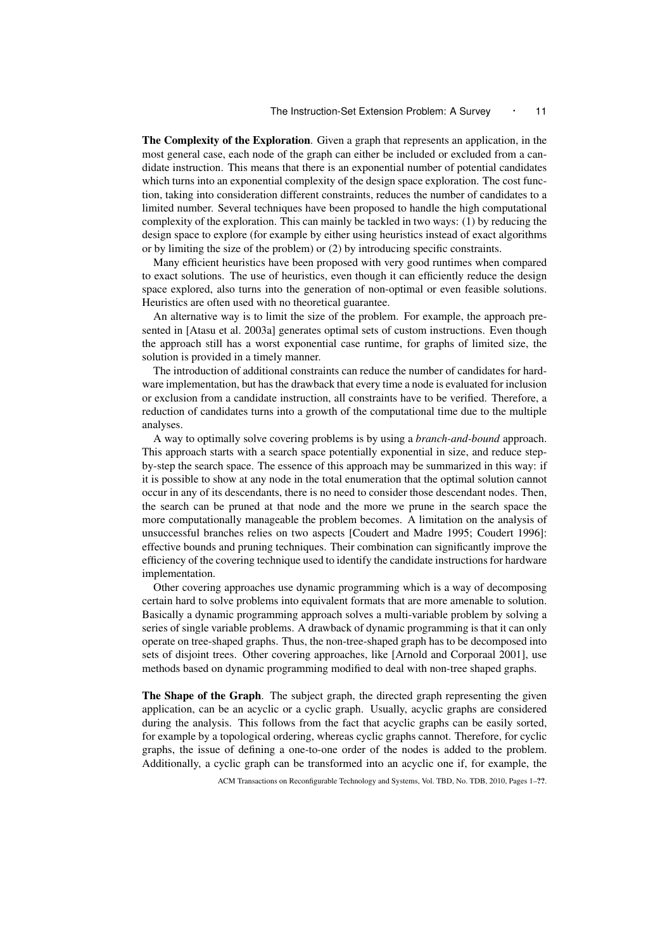The Complexity of the Exploration. Given a graph that represents an application, in the most general case, each node of the graph can either be included or excluded from a candidate instruction. This means that there is an exponential number of potential candidates which turns into an exponential complexity of the design space exploration. The cost function, taking into consideration different constraints, reduces the number of candidates to a limited number. Several techniques have been proposed to handle the high computational complexity of the exploration. This can mainly be tackled in two ways: (1) by reducing the design space to explore (for example by either using heuristics instead of exact algorithms or by limiting the size of the problem) or (2) by introducing specific constraints.

Many efficient heuristics have been proposed with very good runtimes when compared to exact solutions. The use of heuristics, even though it can efficiently reduce the design space explored, also turns into the generation of non-optimal or even feasible solutions. Heuristics are often used with no theoretical guarantee.

An alternative way is to limit the size of the problem. For example, the approach presented in [Atasu et al. 2003a] generates optimal sets of custom instructions. Even though the approach still has a worst exponential case runtime, for graphs of limited size, the solution is provided in a timely manner.

The introduction of additional constraints can reduce the number of candidates for hardware implementation, but has the drawback that every time a node is evaluated for inclusion or exclusion from a candidate instruction, all constraints have to be verified. Therefore, a reduction of candidates turns into a growth of the computational time due to the multiple analyses.

A way to optimally solve covering problems is by using a *branch-and-bound* approach. This approach starts with a search space potentially exponential in size, and reduce stepby-step the search space. The essence of this approach may be summarized in this way: if it is possible to show at any node in the total enumeration that the optimal solution cannot occur in any of its descendants, there is no need to consider those descendant nodes. Then, the search can be pruned at that node and the more we prune in the search space the more computationally manageable the problem becomes. A limitation on the analysis of unsuccessful branches relies on two aspects [Coudert and Madre 1995; Coudert 1996]: effective bounds and pruning techniques. Their combination can significantly improve the efficiency of the covering technique used to identify the candidate instructions for hardware implementation.

Other covering approaches use dynamic programming which is a way of decomposing certain hard to solve problems into equivalent formats that are more amenable to solution. Basically a dynamic programming approach solves a multi-variable problem by solving a series of single variable problems. A drawback of dynamic programming is that it can only operate on tree-shaped graphs. Thus, the non-tree-shaped graph has to be decomposed into sets of disjoint trees. Other covering approaches, like [Arnold and Corporaal 2001], use methods based on dynamic programming modified to deal with non-tree shaped graphs.

The Shape of the Graph. The subject graph, the directed graph representing the given application, can be an acyclic or a cyclic graph. Usually, acyclic graphs are considered during the analysis. This follows from the fact that acyclic graphs can be easily sorted, for example by a topological ordering, whereas cyclic graphs cannot. Therefore, for cyclic graphs, the issue of defining a one-to-one order of the nodes is added to the problem. Additionally, a cyclic graph can be transformed into an acyclic one if, for example, the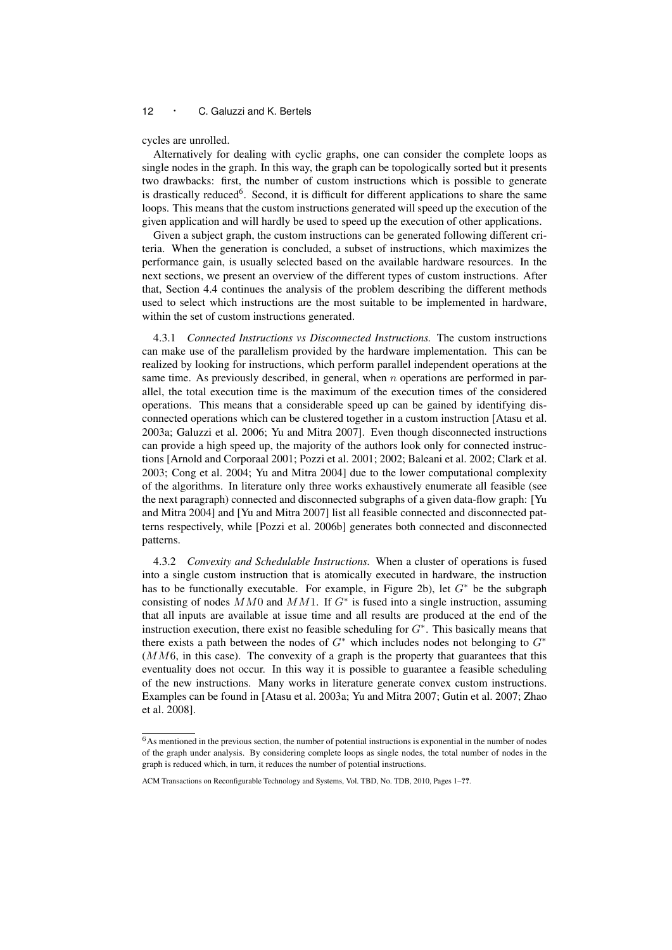cycles are unrolled.

Alternatively for dealing with cyclic graphs, one can consider the complete loops as single nodes in the graph. In this way, the graph can be topologically sorted but it presents two drawbacks: first, the number of custom instructions which is possible to generate is drastically reduced<sup>6</sup>. Second, it is difficult for different applications to share the same loops. This means that the custom instructions generated will speed up the execution of the given application and will hardly be used to speed up the execution of other applications.

Given a subject graph, the custom instructions can be generated following different criteria. When the generation is concluded, a subset of instructions, which maximizes the performance gain, is usually selected based on the available hardware resources. In the next sections, we present an overview of the different types of custom instructions. After that, Section 4.4 continues the analysis of the problem describing the different methods used to select which instructions are the most suitable to be implemented in hardware, within the set of custom instructions generated.

4.3.1 *Connected Instructions vs Disconnected Instructions.* The custom instructions can make use of the parallelism provided by the hardware implementation. This can be realized by looking for instructions, which perform parallel independent operations at the same time. As previously described, in general, when *n* operations are performed in parallel, the total execution time is the maximum of the execution times of the considered operations. This means that a considerable speed up can be gained by identifying disconnected operations which can be clustered together in a custom instruction [Atasu et al. 2003a; Galuzzi et al. 2006; Yu and Mitra 2007]. Even though disconnected instructions can provide a high speed up, the majority of the authors look only for connected instructions [Arnold and Corporaal 2001; Pozzi et al. 2001; 2002; Baleani et al. 2002; Clark et al. 2003; Cong et al. 2004; Yu and Mitra 2004] due to the lower computational complexity of the algorithms. In literature only three works exhaustively enumerate all feasible (see the next paragraph) connected and disconnected subgraphs of a given data-flow graph: [Yu and Mitra 2004] and [Yu and Mitra 2007] list all feasible connected and disconnected patterns respectively, while [Pozzi et al. 2006b] generates both connected and disconnected patterns.

4.3.2 *Convexity and Schedulable Instructions.* When a cluster of operations is fused into a single custom instruction that is atomically executed in hardware, the instruction has to be functionally executable. For example, in Figure 2b), let *G<sup>∗</sup>* be the subgraph consisting of nodes *MM*0 and *MM*1. If *G<sup>∗</sup>* is fused into a single instruction, assuming that all inputs are available at issue time and all results are produced at the end of the instruction execution, there exist no feasible scheduling for *G<sup>∗</sup>* . This basically means that there exists a path between the nodes of  $G^*$  which includes nodes not belonging to  $G^*$ (*MM*6, in this case). The convexity of a graph is the property that guarantees that this eventuality does not occur. In this way it is possible to guarantee a feasible scheduling of the new instructions. Many works in literature generate convex custom instructions. Examples can be found in [Atasu et al. 2003a; Yu and Mitra 2007; Gutin et al. 2007; Zhao et al. 2008].

 $6$ As mentioned in the previous section, the number of potential instructions is exponential in the number of nodes of the graph under analysis. By considering complete loops as single nodes, the total number of nodes in the graph is reduced which, in turn, it reduces the number of potential instructions.

ACM Transactions on Reconfigurable Technology and Systems, Vol. TBD, No. TDB, 2010, Pages 1–??.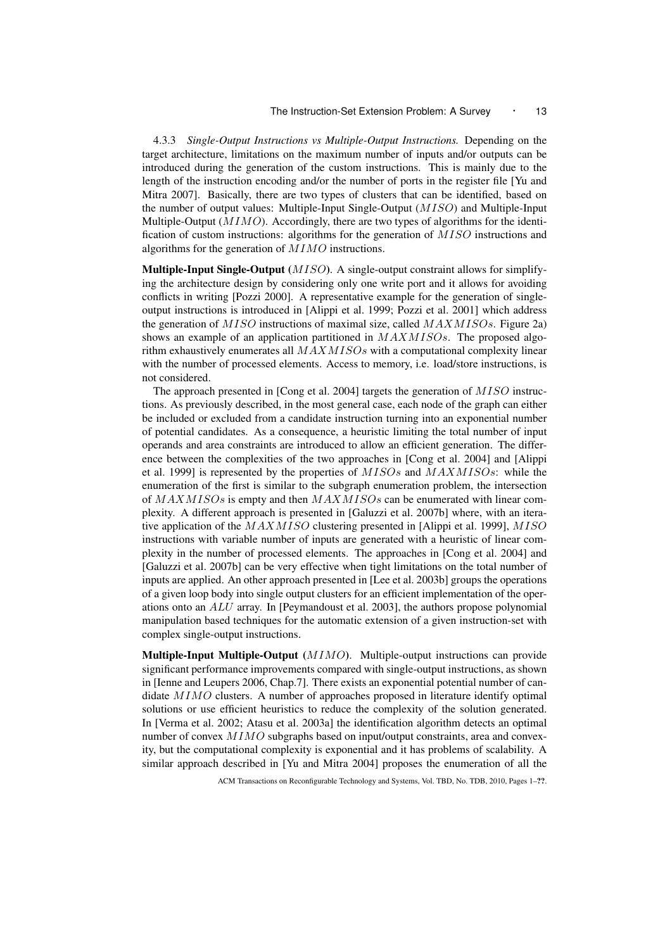4.3.3 *Single-Output Instructions vs Multiple-Output Instructions.* Depending on the target architecture, limitations on the maximum number of inputs and/or outputs can be introduced during the generation of the custom instructions. This is mainly due to the length of the instruction encoding and/or the number of ports in the register file [Yu and Mitra 2007]. Basically, there are two types of clusters that can be identified, based on the number of output values: Multiple-Input Single-Output (*MISO*) and Multiple-Input Multiple-Output (*MIMO*). Accordingly, there are two types of algorithms for the identification of custom instructions: algorithms for the generation of *MISO* instructions and algorithms for the generation of *MIMO* instructions.

Multiple-Input Single-Output (*MISO*). A single-output constraint allows for simplifying the architecture design by considering only one write port and it allows for avoiding conflicts in writing [Pozzi 2000]. A representative example for the generation of singleoutput instructions is introduced in [Alippi et al. 1999; Pozzi et al. 2001] which address the generation of *MISO* instructions of maximal size, called *MAXM ISOs*. Figure 2a) shows an example of an application partitioned in *MAXMISOs*. The proposed algorithm exhaustively enumerates all *MAXMISOs* with a computational complexity linear with the number of processed elements. Access to memory, i.e. load/store instructions, is not considered.

The approach presented in [Cong et al. 2004] targets the generation of *MISO* instructions. As previously described, in the most general case, each node of the graph can either be included or excluded from a candidate instruction turning into an exponential number of potential candidates. As a consequence, a heuristic limiting the total number of input operands and area constraints are introduced to allow an efficient generation. The difference between the complexities of the two approaches in [Cong et al. 2004] and [Alippi et al. 1999] is represented by the properties of *MISOs* and *MAXMISOs*: while the enumeration of the first is similar to the subgraph enumeration problem, the intersection of *MAXMISOs* is empty and then *MAXMISOs* can be enumerated with linear complexity. A different approach is presented in [Galuzzi et al. 2007b] where, with an iterative application of the *MAXMISO* clustering presented in [Alippi et al. 1999], *MISO* instructions with variable number of inputs are generated with a heuristic of linear complexity in the number of processed elements. The approaches in [Cong et al. 2004] and [Galuzzi et al. 2007b] can be very effective when tight limitations on the total number of inputs are applied. An other approach presented in [Lee et al. 2003b] groups the operations of a given loop body into single output clusters for an efficient implementation of the operations onto an *ALU* array. In [Peymandoust et al. 2003], the authors propose polynomial manipulation based techniques for the automatic extension of a given instruction-set with complex single-output instructions.

Multiple-Input Multiple-Output (*MIMO*). Multiple-output instructions can provide significant performance improvements compared with single-output instructions, as shown in [Ienne and Leupers 2006, Chap.7]. There exists an exponential potential number of candidate *MIMO* clusters. A number of approaches proposed in literature identify optimal solutions or use efficient heuristics to reduce the complexity of the solution generated. In [Verma et al. 2002; Atasu et al. 2003a] the identification algorithm detects an optimal number of convex *MIMO* subgraphs based on input/output constraints, area and convexity, but the computational complexity is exponential and it has problems of scalability. A similar approach described in [Yu and Mitra 2004] proposes the enumeration of all the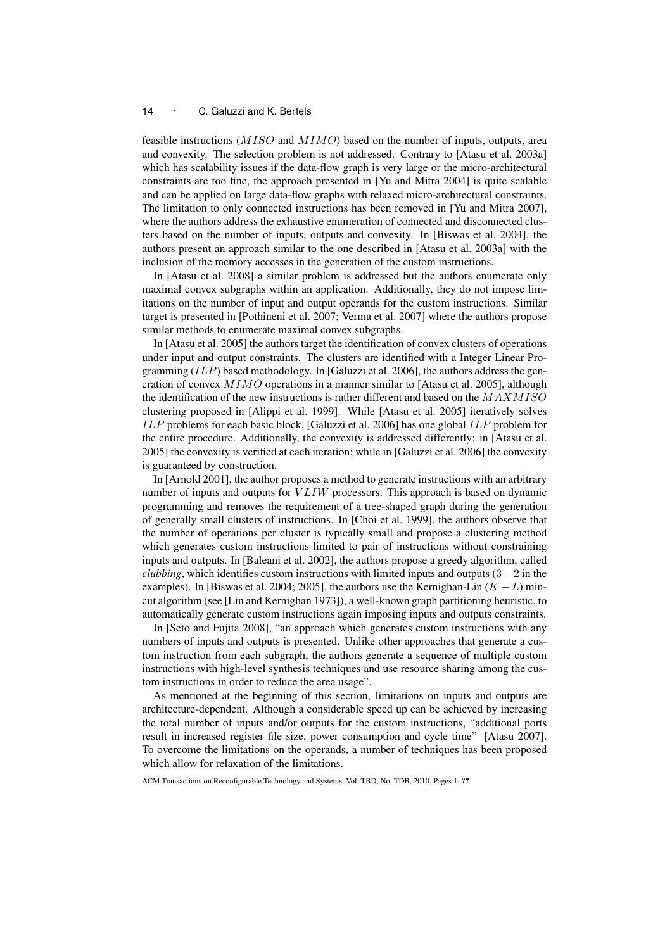feasible instructions (*MISO* and *MIMO*) based on the number of inputs, outputs, area and convexity. The selection problem is not addressed. Contrary to [Atasu et al. 2003a] which has scalability issues if the data-flow graph is very large or the micro-architectural constraints are too fine, the approach presented in [Yu and Mitra 2004] is quite scalable and can be applied on large data-flow graphs with relaxed micro-architectural constraints. The limitation to only connected instructions has been removed in [Yu and Mitra 2007], where the authors address the exhaustive enumeration of connected and disconnected clusters based on the number of inputs, outputs and convexity. In [Biswas et al. 2004], the authors present an approach similar to the one described in [Atasu et al. 2003a] with the inclusion of the memory accesses in the generation of the custom instructions.

In [Atasu et al. 2008] a similar problem is addressed but the authors enumerate only maximal convex subgraphs within an application. Additionally, they do not impose limitations on the number of input and output operands for the custom instructions. Similar target is presented in [Pothineni et al. 2007; Verma et al. 2007] where the authors propose similar methods to enumerate maximal convex subgraphs.

In [Atasu et al. 2005] the authors target the identification of convex clusters of operations under input and output constraints. The clusters are identified with a Integer Linear Programming (*ILP*) based methodology. In [Galuzzi et al. 2006], the authors address the generation of convex *MIMO* operations in a manner similar to [Atasu et al. 2005], although the identification of the new instructions is rather different and based on the *MAXMISO* clustering proposed in [Alippi et al. 1999]. While [Atasu et al. 2005] iteratively solves *ILP* problems for each basic block, [Galuzzi et al. 2006] has one global *ILP* problem for the entire procedure. Additionally, the convexity is addressed differently: in [Atasu et al. 2005] the convexity is verified at each iteration; while in [Galuzzi et al. 2006] the convexity is guaranteed by construction.

In [Arnold 2001], the author proposes a method to generate instructions with an arbitrary number of inputs and outputs for *V LIW* processors. This approach is based on dynamic programming and removes the requirement of a tree-shaped graph during the generation of generally small clusters of instructions. In [Choi et al. 1999], the authors observe that the number of operations per cluster is typically small and propose a clustering method which generates custom instructions limited to pair of instructions without constraining inputs and outputs. In [Baleani et al. 2002], the authors propose a greedy algorithm, called *clubbing*, which identifies custom instructions with limited inputs and outputs (3*−*2 in the examples). In [Biswas et al. 2004; 2005], the authors use the Kernighan-Lin  $(K - L)$  mincut algorithm (see [Lin and Kernighan 1973]), a well-known graph partitioning heuristic, to automatically generate custom instructions again imposing inputs and outputs constraints.

In [Seto and Fujita 2008], "an approach which generates custom instructions with any numbers of inputs and outputs is presented. Unlike other approaches that generate a custom instruction from each subgraph, the authors generate a sequence of multiple custom instructions with high-level synthesis techniques and use resource sharing among the custom instructions in order to reduce the area usage".

As mentioned at the beginning of this section, limitations on inputs and outputs are architecture-dependent. Although a considerable speed up can be achieved by increasing the total number of inputs and/or outputs for the custom instructions, "additional ports result in increased register file size, power consumption and cycle time" [Atasu 2007]. To overcome the limitations on the operands, a number of techniques has been proposed which allow for relaxation of the limitations.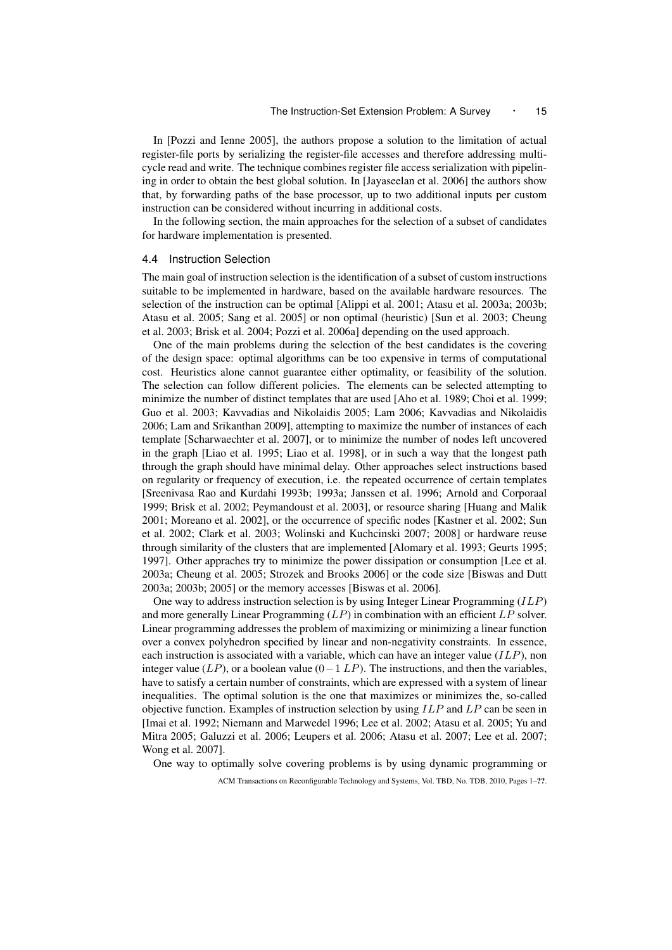In [Pozzi and Ienne 2005], the authors propose a solution to the limitation of actual register-file ports by serializing the register-file accesses and therefore addressing multicycle read and write. The technique combines register file access serialization with pipelining in order to obtain the best global solution. In [Jayaseelan et al. 2006] the authors show that, by forwarding paths of the base processor, up to two additional inputs per custom instruction can be considered without incurring in additional costs.

In the following section, the main approaches for the selection of a subset of candidates for hardware implementation is presented.

#### 4.4 Instruction Selection

The main goal of instruction selection is the identification of a subset of custom instructions suitable to be implemented in hardware, based on the available hardware resources. The selection of the instruction can be optimal [Alippi et al. 2001; Atasu et al. 2003a; 2003b; Atasu et al. 2005; Sang et al. 2005] or non optimal (heuristic) [Sun et al. 2003; Cheung et al. 2003; Brisk et al. 2004; Pozzi et al. 2006a] depending on the used approach.

One of the main problems during the selection of the best candidates is the covering of the design space: optimal algorithms can be too expensive in terms of computational cost. Heuristics alone cannot guarantee either optimality, or feasibility of the solution. The selection can follow different policies. The elements can be selected attempting to minimize the number of distinct templates that are used [Aho et al. 1989; Choi et al. 1999; Guo et al. 2003; Kavvadias and Nikolaidis 2005; Lam 2006; Kavvadias and Nikolaidis 2006; Lam and Srikanthan 2009], attempting to maximize the number of instances of each template [Scharwaechter et al. 2007], or to minimize the number of nodes left uncovered in the graph [Liao et al. 1995; Liao et al. 1998], or in such a way that the longest path through the graph should have minimal delay. Other approaches select instructions based on regularity or frequency of execution, i.e. the repeated occurrence of certain templates [Sreenivasa Rao and Kurdahi 1993b; 1993a; Janssen et al. 1996; Arnold and Corporaal 1999; Brisk et al. 2002; Peymandoust et al. 2003], or resource sharing [Huang and Malik 2001; Moreano et al. 2002], or the occurrence of specific nodes [Kastner et al. 2002; Sun et al. 2002; Clark et al. 2003; Wolinski and Kuchcinski 2007; 2008] or hardware reuse through similarity of the clusters that are implemented [Alomary et al. 1993; Geurts 1995; 1997]. Other appraches try to minimize the power dissipation or consumption [Lee et al. 2003a; Cheung et al. 2005; Strozek and Brooks 2006] or the code size [Biswas and Dutt 2003a; 2003b; 2005] or the memory accesses [Biswas et al. 2006].

One way to address instruction selection is by using Integer Linear Programming (*ILP*) and more generally Linear Programming (*LP*) in combination with an efficient *LP* solver. Linear programming addresses the problem of maximizing or minimizing a linear function over a convex polyhedron specified by linear and non-negativity constraints. In essence, each instruction is associated with a variable, which can have an integer value (*ILP*), non integer value (*LP*), or a boolean value (0*−*1 *LP*). The instructions, and then the variables, have to satisfy a certain number of constraints, which are expressed with a system of linear inequalities. The optimal solution is the one that maximizes or minimizes the, so-called objective function. Examples of instruction selection by using *ILP* and *LP* can be seen in [Imai et al. 1992; Niemann and Marwedel 1996; Lee et al. 2002; Atasu et al. 2005; Yu and Mitra 2005; Galuzzi et al. 2006; Leupers et al. 2006; Atasu et al. 2007; Lee et al. 2007; Wong et al. 2007].

One way to optimally solve covering problems is by using dynamic programming or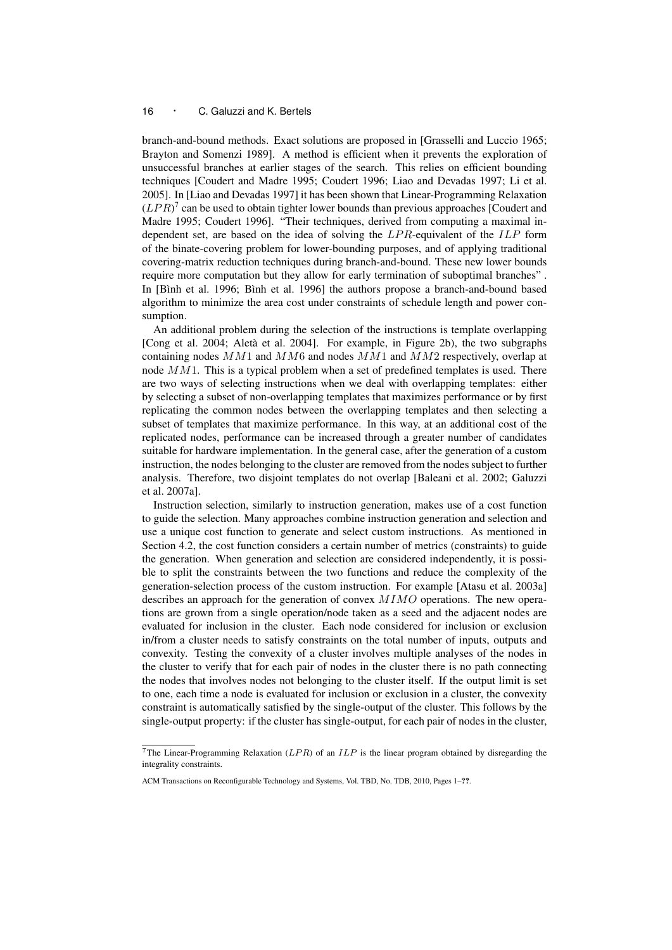branch-and-bound methods. Exact solutions are proposed in [Grasselli and Luccio 1965; Brayton and Somenzi 1989]. A method is efficient when it prevents the exploration of unsuccessful branches at earlier stages of the search. This relies on efficient bounding techniques [Coudert and Madre 1995; Coudert 1996; Liao and Devadas 1997; Li et al. 2005]. In [Liao and Devadas 1997] it has been shown that Linear-Programming Relaxation  $(LPR)^7$  can be used to obtain tighter lower bounds than previous approaches [Coudert and Madre 1995; Coudert 1996]. "Their techniques, derived from computing a maximal independent set, are based on the idea of solving the *LP R*-equivalent of the *ILP* form of the binate-covering problem for lower-bounding purposes, and of applying traditional covering-matrix reduction techniques during branch-and-bound. These new lower bounds require more computation but they allow for early termination of suboptimal branches" . In [Bình et al. 1996; Bình et al. 1996] the authors propose a branch-and-bound based algorithm to minimize the area cost under constraints of schedule length and power consumption.

An additional problem during the selection of the instructions is template overlapping [Cong et al. 2004; Aleta et al. 2004]. For example, in Figure 2b), the two subgraphs ` containing nodes *MM*1 and *MM*6 and nodes *MM*1 and *MM*2 respectively, overlap at node *MM*1. This is a typical problem when a set of predefined templates is used. There are two ways of selecting instructions when we deal with overlapping templates: either by selecting a subset of non-overlapping templates that maximizes performance or by first replicating the common nodes between the overlapping templates and then selecting a subset of templates that maximize performance. In this way, at an additional cost of the replicated nodes, performance can be increased through a greater number of candidates suitable for hardware implementation. In the general case, after the generation of a custom instruction, the nodes belonging to the cluster are removed from the nodes subject to further analysis. Therefore, two disjoint templates do not overlap [Baleani et al. 2002; Galuzzi et al. 2007a].

Instruction selection, similarly to instruction generation, makes use of a cost function to guide the selection. Many approaches combine instruction generation and selection and use a unique cost function to generate and select custom instructions. As mentioned in Section 4.2, the cost function considers a certain number of metrics (constraints) to guide the generation. When generation and selection are considered independently, it is possible to split the constraints between the two functions and reduce the complexity of the generation-selection process of the custom instruction. For example [Atasu et al. 2003a] describes an approach for the generation of convex *MIMO* operations. The new operations are grown from a single operation/node taken as a seed and the adjacent nodes are evaluated for inclusion in the cluster. Each node considered for inclusion or exclusion in/from a cluster needs to satisfy constraints on the total number of inputs, outputs and convexity. Testing the convexity of a cluster involves multiple analyses of the nodes in the cluster to verify that for each pair of nodes in the cluster there is no path connecting the nodes that involves nodes not belonging to the cluster itself. If the output limit is set to one, each time a node is evaluated for inclusion or exclusion in a cluster, the convexity constraint is automatically satisfied by the single-output of the cluster. This follows by the single-output property: if the cluster has single-output, for each pair of nodes in the cluster,

<sup>7</sup>The Linear-Programming Relaxation (*LP R*) of an *ILP* is the linear program obtained by disregarding the integrality constraints.

ACM Transactions on Reconfigurable Technology and Systems, Vol. TBD, No. TDB, 2010, Pages 1–??.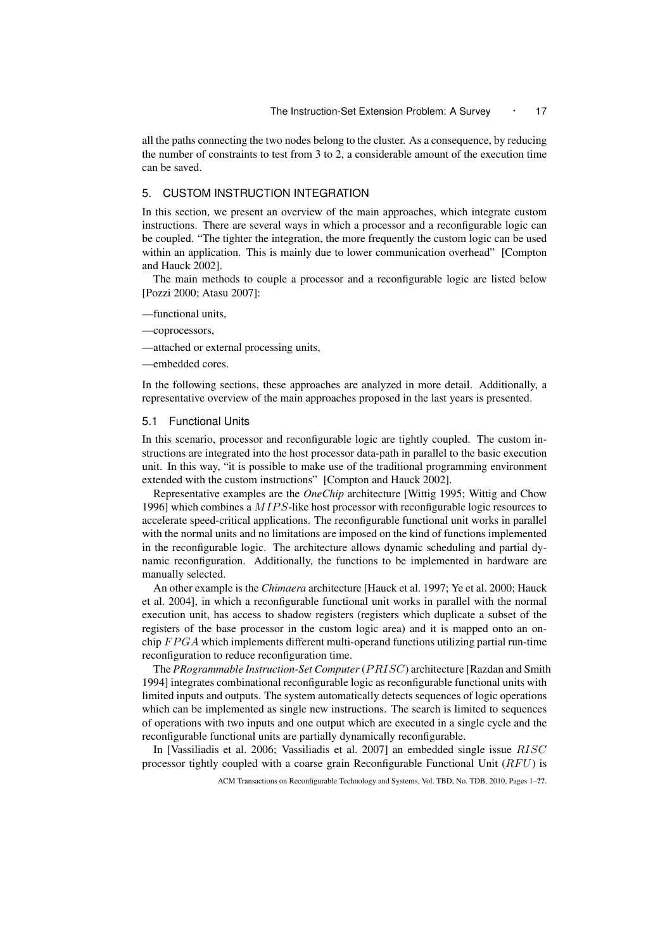all the paths connecting the two nodes belong to the cluster. As a consequence, by reducing the number of constraints to test from 3 to 2, a considerable amount of the execution time can be saved.

## 5. CUSTOM INSTRUCTION INTEGRATION

In this section, we present an overview of the main approaches, which integrate custom instructions. There are several ways in which a processor and a reconfigurable logic can be coupled. "The tighter the integration, the more frequently the custom logic can be used within an application. This is mainly due to lower communication overhead" [Compton and Hauck 2002].

The main methods to couple a processor and a reconfigurable logic are listed below [Pozzi 2000; Atasu 2007]:

—functional units,

—coprocessors,

—attached or external processing units,

—embedded cores.

In the following sections, these approaches are analyzed in more detail. Additionally, a representative overview of the main approaches proposed in the last years is presented.

#### 5.1 Functional Units

In this scenario, processor and reconfigurable logic are tightly coupled. The custom instructions are integrated into the host processor data-path in parallel to the basic execution unit. In this way, "it is possible to make use of the traditional programming environment extended with the custom instructions" [Compton and Hauck 2002].

Representative examples are the *OneChip* architecture [Wittig 1995; Wittig and Chow 1996] which combines a *MIP S*-like host processor with reconfigurable logic resources to accelerate speed-critical applications. The reconfigurable functional unit works in parallel with the normal units and no limitations are imposed on the kind of functions implemented in the reconfigurable logic. The architecture allows dynamic scheduling and partial dynamic reconfiguration. Additionally, the functions to be implemented in hardware are manually selected.

An other example is the *Chimaera* architecture [Hauck et al. 1997; Ye et al. 2000; Hauck et al. 2004], in which a reconfigurable functional unit works in parallel with the normal execution unit, has access to shadow registers (registers which duplicate a subset of the registers of the base processor in the custom logic area) and it is mapped onto an onchip *F P GA* which implements different multi-operand functions utilizing partial run-time reconfiguration to reduce reconfiguration time.

The *PRogrammable Instruction-Set Computer* (*P RISC*) architecture [Razdan and Smith 1994] integrates combinational reconfigurable logic as reconfigurable functional units with limited inputs and outputs. The system automatically detects sequences of logic operations which can be implemented as single new instructions. The search is limited to sequences of operations with two inputs and one output which are executed in a single cycle and the reconfigurable functional units are partially dynamically reconfigurable.

In [Vassiliadis et al. 2006; Vassiliadis et al. 2007] an embedded single issue *RISC* processor tightly coupled with a coarse grain Reconfigurable Functional Unit (*RF U*) is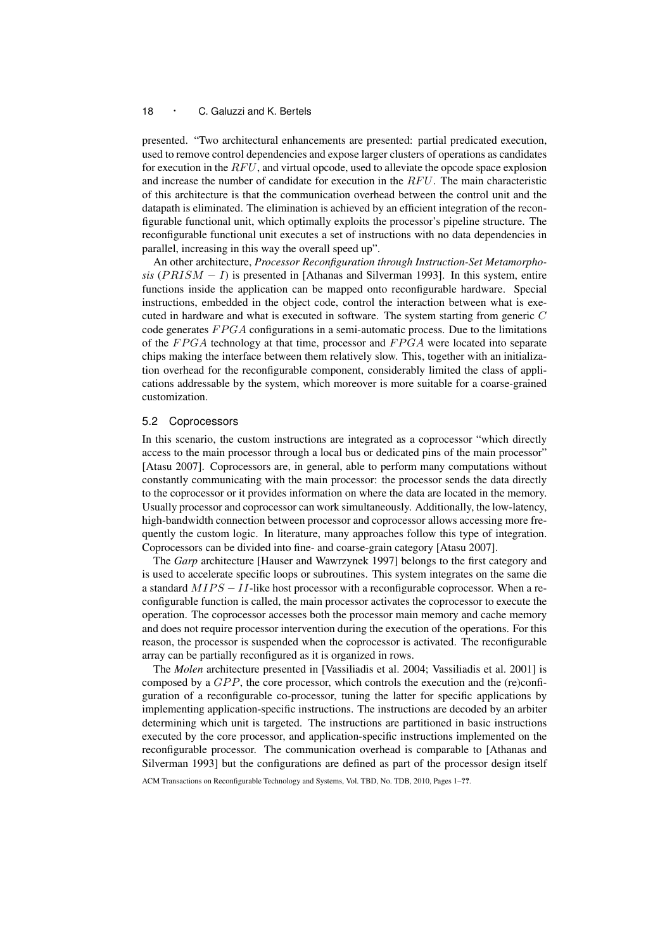presented. "Two architectural enhancements are presented: partial predicated execution, used to remove control dependencies and expose larger clusters of operations as candidates for execution in the *RFU*, and virtual opcode, used to alleviate the opcode space explosion and increase the number of candidate for execution in the *RF U*. The main characteristic of this architecture is that the communication overhead between the control unit and the datapath is eliminated. The elimination is achieved by an efficient integration of the reconfigurable functional unit, which optimally exploits the processor's pipeline structure. The reconfigurable functional unit executes a set of instructions with no data dependencies in parallel, increasing in this way the overall speed up".

An other architecture, *Processor Reconfiguration through Instruction-Set Metamorphosis* (*P RISM − I*) is presented in [Athanas and Silverman 1993]. In this system, entire functions inside the application can be mapped onto reconfigurable hardware. Special instructions, embedded in the object code, control the interaction between what is executed in hardware and what is executed in software. The system starting from generic *C* code generates *F P GA* configurations in a semi-automatic process. Due to the limitations of the *F P GA* technology at that time, processor and *F P GA* were located into separate chips making the interface between them relatively slow. This, together with an initialization overhead for the reconfigurable component, considerably limited the class of applications addressable by the system, which moreover is more suitable for a coarse-grained customization.

#### 5.2 Coprocessors

In this scenario, the custom instructions are integrated as a coprocessor "which directly access to the main processor through a local bus or dedicated pins of the main processor" [Atasu 2007]. Coprocessors are, in general, able to perform many computations without constantly communicating with the main processor: the processor sends the data directly to the coprocessor or it provides information on where the data are located in the memory. Usually processor and coprocessor can work simultaneously. Additionally, the low-latency, high-bandwidth connection between processor and coprocessor allows accessing more frequently the custom logic. In literature, many approaches follow this type of integration. Coprocessors can be divided into fine- and coarse-grain category [Atasu 2007].

The *Garp* architecture [Hauser and Wawrzynek 1997] belongs to the first category and is used to accelerate specific loops or subroutines. This system integrates on the same die a standard *MIP S − II*-like host processor with a reconfigurable coprocessor. When a reconfigurable function is called, the main processor activates the coprocessor to execute the operation. The coprocessor accesses both the processor main memory and cache memory and does not require processor intervention during the execution of the operations. For this reason, the processor is suspended when the coprocessor is activated. The reconfigurable array can be partially reconfigured as it is organized in rows.

The *Molen* architecture presented in [Vassiliadis et al. 2004; Vassiliadis et al. 2001] is composed by a *GP P*, the core processor, which controls the execution and the (re)configuration of a reconfigurable co-processor, tuning the latter for specific applications by implementing application-specific instructions. The instructions are decoded by an arbiter determining which unit is targeted. The instructions are partitioned in basic instructions executed by the core processor, and application-specific instructions implemented on the reconfigurable processor. The communication overhead is comparable to [Athanas and Silverman 1993] but the configurations are defined as part of the processor design itself

ACM Transactions on Reconfigurable Technology and Systems, Vol. TBD, No. TDB, 2010, Pages 1–??.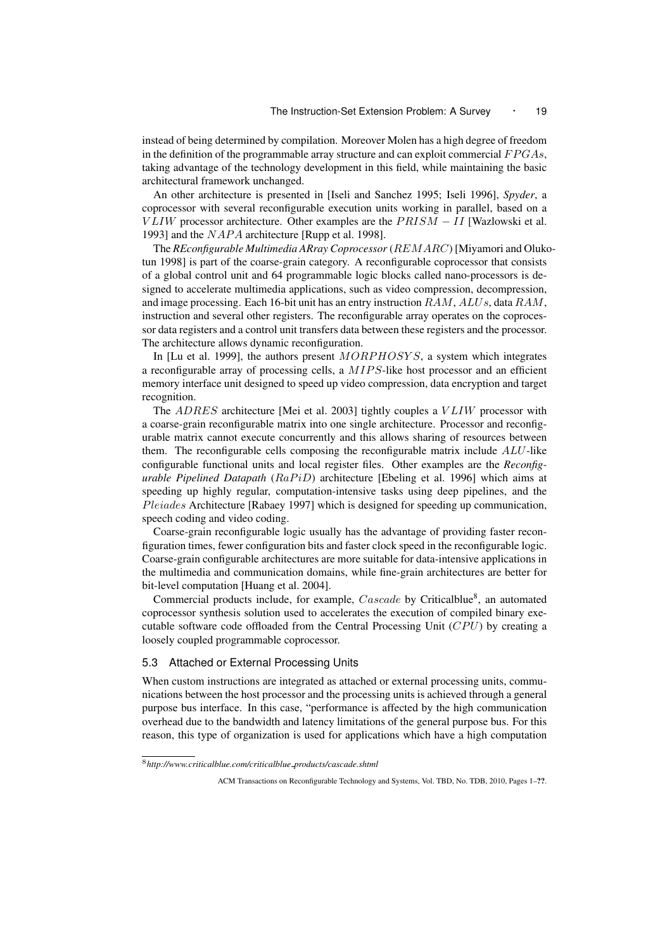instead of being determined by compilation. Moreover Molen has a high degree of freedom in the definition of the programmable array structure and can exploit commercial *FPGAs*, taking advantage of the technology development in this field, while maintaining the basic architectural framework unchanged.

An other architecture is presented in [Iseli and Sanchez 1995; Iseli 1996], *Spyder*, a coprocessor with several reconfigurable execution units working in parallel, based on a *V LIW* processor architecture. Other examples are the *P RISM − II* [Wazlowski et al. 1993] and the *NAP A* architecture [Rupp et al. 1998].

The *REconfigurable Multimedia ARray Coprocessor* (*REMARC*) [Miyamori and Olukotun 1998] is part of the coarse-grain category. A reconfigurable coprocessor that consists of a global control unit and 64 programmable logic blocks called nano-processors is designed to accelerate multimedia applications, such as video compression, decompression, and image processing. Each 16-bit unit has an entry instruction *RAM*, *ALUs*, data *RAM*, instruction and several other registers. The reconfigurable array operates on the coprocessor data registers and a control unit transfers data between these registers and the processor. The architecture allows dynamic reconfiguration.

In [Lu et al. 1999], the authors present *MORP HOSY S*, a system which integrates a reconfigurable array of processing cells, a *MIP S*-like host processor and an efficient memory interface unit designed to speed up video compression, data encryption and target recognition.

The *ADRES* architecture [Mei et al. 2003] tightly couples a *V LIW* processor with a coarse-grain reconfigurable matrix into one single architecture. Processor and reconfigurable matrix cannot execute concurrently and this allows sharing of resources between them. The reconfigurable cells composing the reconfigurable matrix include *ALU*-like configurable functional units and local register files. Other examples are the *Reconfigurable Pipelined Datapath* (*RaPiD*) architecture [Ebeling et al. 1996] which aims at speeding up highly regular, computation-intensive tasks using deep pipelines, and the *Pleiades* Architecture [Rabaey 1997] which is designed for speeding up communication, speech coding and video coding.

Coarse-grain reconfigurable logic usually has the advantage of providing faster reconfiguration times, fewer configuration bits and faster clock speed in the reconfigurable logic. Coarse-grain configurable architectures are more suitable for data-intensive applications in the multimedia and communication domains, while fine-grain architectures are better for bit-level computation [Huang et al. 2004].

Commercial products include, for example, *Cascade* by Criticalblue<sup>8</sup>, an automated coprocessor synthesis solution used to accelerates the execution of compiled binary executable software code offloaded from the Central Processing Unit (*CP U*) by creating a loosely coupled programmable coprocessor.

## 5.3 Attached or External Processing Units

When custom instructions are integrated as attached or external processing units, communications between the host processor and the processing units is achieved through a general purpose bus interface. In this case, "performance is affected by the high communication overhead due to the bandwidth and latency limitations of the general purpose bus. For this reason, this type of organization is used for applications which have a high computation

<sup>8</sup>*http://www.criticalblue.com/criticalblue products/cascade.shtml*

ACM Transactions on Reconfigurable Technology and Systems, Vol. TBD, No. TDB, 2010, Pages 1–??.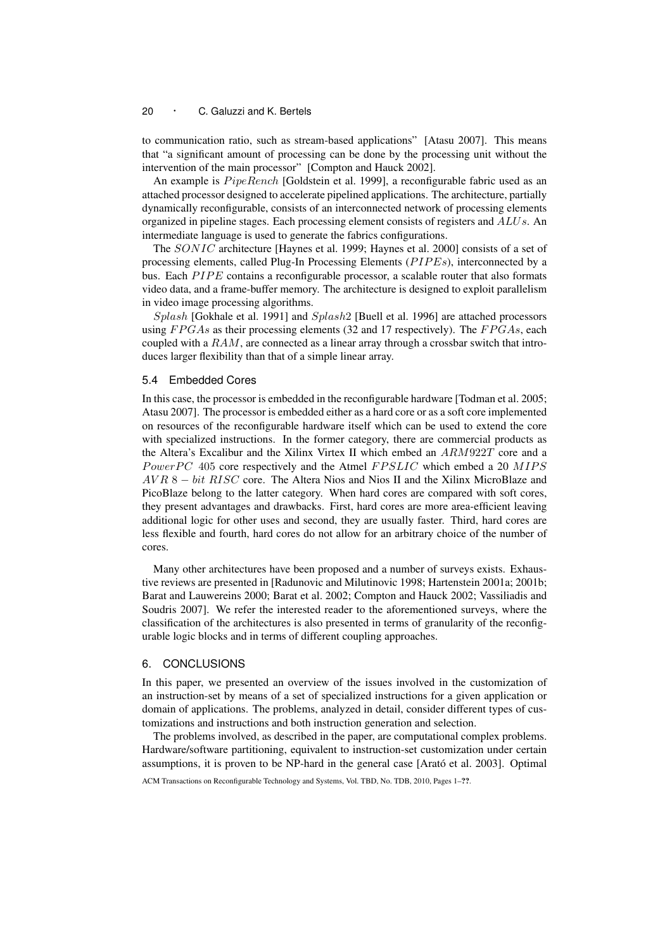to communication ratio, such as stream-based applications" [Atasu 2007]. This means that "a significant amount of processing can be done by the processing unit without the intervention of the main processor" [Compton and Hauck 2002].

An example is *PipeRench* [Goldstein et al. 1999], a reconfigurable fabric used as an attached processor designed to accelerate pipelined applications. The architecture, partially dynamically reconfigurable, consists of an interconnected network of processing elements organized in pipeline stages. Each processing element consists of registers and *ALUs*. An intermediate language is used to generate the fabrics configurations.

The *SONIC* architecture [Haynes et al. 1999; Haynes et al. 2000] consists of a set of processing elements, called Plug-In Processing Elements (*P IP Es*), interconnected by a bus. Each *PIPE* contains a reconfigurable processor, a scalable router that also formats video data, and a frame-buffer memory. The architecture is designed to exploit parallelism in video image processing algorithms.

*Splash* [Gokhale et al. 1991] and *Splash*2 [Buell et al. 1996] are attached processors using *FPGAs* as their processing elements (32 and 17 respectively). The *FPGAs*, each coupled with a *RAM*, are connected as a linear array through a crossbar switch that introduces larger flexibility than that of a simple linear array.

#### 5.4 Embedded Cores

In this case, the processor is embedded in the reconfigurable hardware [Todman et al. 2005; Atasu 2007]. The processor is embedded either as a hard core or as a soft core implemented on resources of the reconfigurable hardware itself which can be used to extend the core with specialized instructions. In the former category, there are commercial products as the Altera's Excalibur and the Xilinx Virtex II which embed an *ARM*922*T* core and a *P owerP C* 405 core respectively and the Atmel *F P SLIC* which embed a 20 *MIP S AV R* 8 *− bit RISC* core. The Altera Nios and Nios II and the Xilinx MicroBlaze and PicoBlaze belong to the latter category. When hard cores are compared with soft cores, they present advantages and drawbacks. First, hard cores are more area-efficient leaving additional logic for other uses and second, they are usually faster. Third, hard cores are less flexible and fourth, hard cores do not allow for an arbitrary choice of the number of cores.

Many other architectures have been proposed and a number of surveys exists. Exhaustive reviews are presented in [Radunovic and Milutinovic 1998; Hartenstein 2001a; 2001b; Barat and Lauwereins 2000; Barat et al. 2002; Compton and Hauck 2002; Vassiliadis and Soudris 2007]. We refer the interested reader to the aforementioned surveys, where the classification of the architectures is also presented in terms of granularity of the reconfigurable logic blocks and in terms of different coupling approaches.

#### 6. CONCLUSIONS

In this paper, we presented an overview of the issues involved in the customization of an instruction-set by means of a set of specialized instructions for a given application or domain of applications. The problems, analyzed in detail, consider different types of customizations and instructions and both instruction generation and selection.

The problems involved, as described in the paper, are computational complex problems. Hardware/software partitioning, equivalent to instruction-set customization under certain assumptions, it is proven to be NP-hard in the general case [Arato et al. 2003]. Optimal ´

ACM Transactions on Reconfigurable Technology and Systems, Vol. TBD, No. TDB, 2010, Pages 1–??.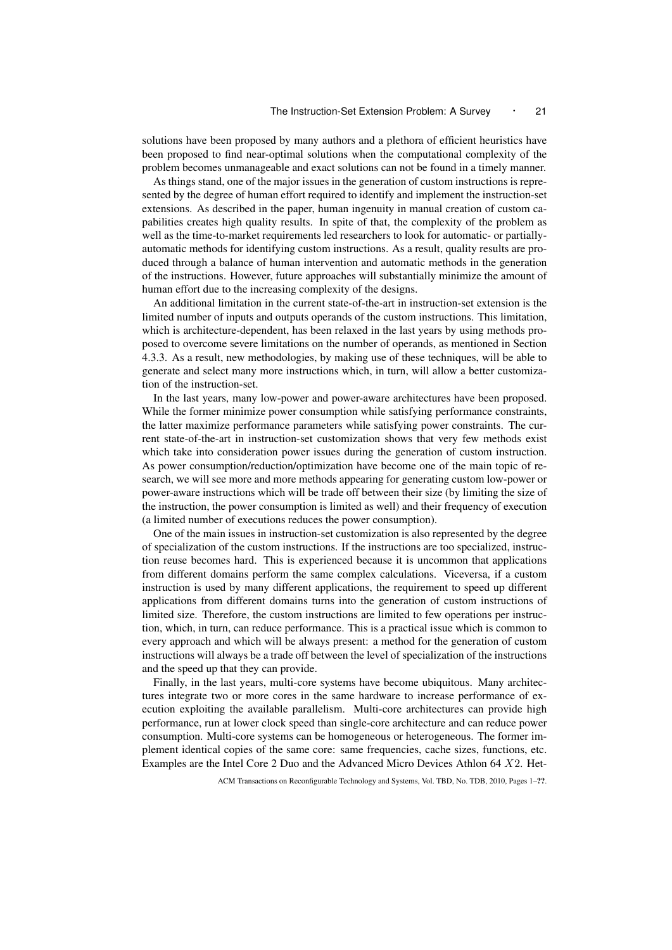solutions have been proposed by many authors and a plethora of efficient heuristics have been proposed to find near-optimal solutions when the computational complexity of the problem becomes unmanageable and exact solutions can not be found in a timely manner.

As things stand, one of the major issues in the generation of custom instructions is represented by the degree of human effort required to identify and implement the instruction-set extensions. As described in the paper, human ingenuity in manual creation of custom capabilities creates high quality results. In spite of that, the complexity of the problem as well as the time-to-market requirements led researchers to look for automatic- or partiallyautomatic methods for identifying custom instructions. As a result, quality results are produced through a balance of human intervention and automatic methods in the generation of the instructions. However, future approaches will substantially minimize the amount of human effort due to the increasing complexity of the designs.

An additional limitation in the current state-of-the-art in instruction-set extension is the limited number of inputs and outputs operands of the custom instructions. This limitation, which is architecture-dependent, has been relaxed in the last years by using methods proposed to overcome severe limitations on the number of operands, as mentioned in Section 4.3.3. As a result, new methodologies, by making use of these techniques, will be able to generate and select many more instructions which, in turn, will allow a better customization of the instruction-set.

In the last years, many low-power and power-aware architectures have been proposed. While the former minimize power consumption while satisfying performance constraints, the latter maximize performance parameters while satisfying power constraints. The current state-of-the-art in instruction-set customization shows that very few methods exist which take into consideration power issues during the generation of custom instruction. As power consumption/reduction/optimization have become one of the main topic of research, we will see more and more methods appearing for generating custom low-power or power-aware instructions which will be trade off between their size (by limiting the size of the instruction, the power consumption is limited as well) and their frequency of execution (a limited number of executions reduces the power consumption).

One of the main issues in instruction-set customization is also represented by the degree of specialization of the custom instructions. If the instructions are too specialized, instruction reuse becomes hard. This is experienced because it is uncommon that applications from different domains perform the same complex calculations. Viceversa, if a custom instruction is used by many different applications, the requirement to speed up different applications from different domains turns into the generation of custom instructions of limited size. Therefore, the custom instructions are limited to few operations per instruction, which, in turn, can reduce performance. This is a practical issue which is common to every approach and which will be always present: a method for the generation of custom instructions will always be a trade off between the level of specialization of the instructions and the speed up that they can provide.

Finally, in the last years, multi-core systems have become ubiquitous. Many architectures integrate two or more cores in the same hardware to increase performance of execution exploiting the available parallelism. Multi-core architectures can provide high performance, run at lower clock speed than single-core architecture and can reduce power consumption. Multi-core systems can be homogeneous or heterogeneous. The former implement identical copies of the same core: same frequencies, cache sizes, functions, etc. Examples are the Intel Core 2 Duo and the Advanced Micro Devices Athlon 64 *X*2. Het-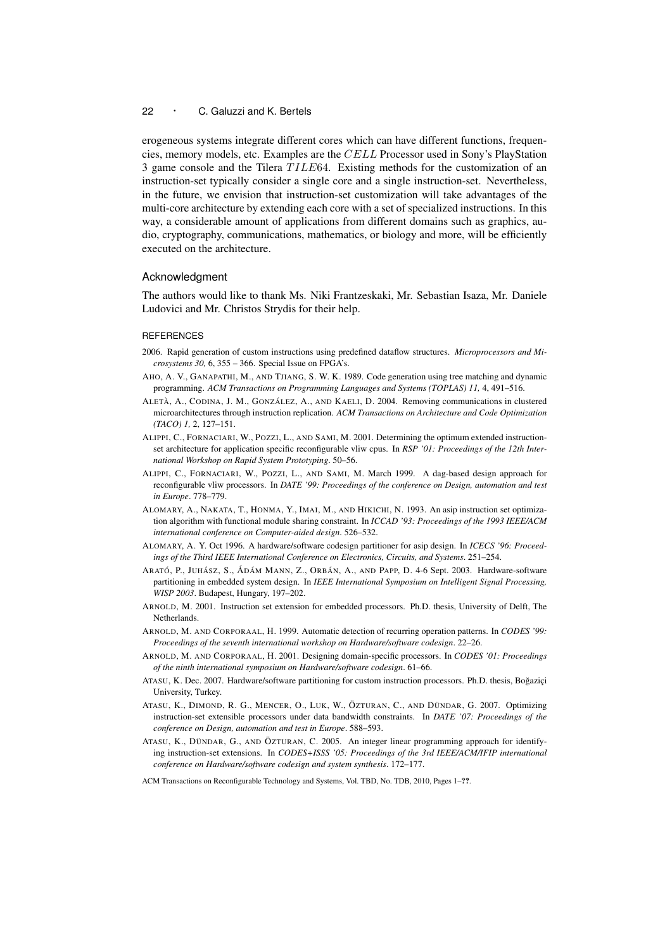erogeneous systems integrate different cores which can have different functions, frequencies, memory models, etc. Examples are the *CELL* Processor used in Sony's PlayStation 3 game console and the Tilera *T ILE*64. Existing methods for the customization of an instruction-set typically consider a single core and a single instruction-set. Nevertheless, in the future, we envision that instruction-set customization will take advantages of the multi-core architecture by extending each core with a set of specialized instructions. In this way, a considerable amount of applications from different domains such as graphics, audio, cryptography, communications, mathematics, or biology and more, will be efficiently executed on the architecture.

### Acknowledgment

The authors would like to thank Ms. Niki Frantzeskaki, Mr. Sebastian Isaza, Mr. Daniele Ludovici and Mr. Christos Strydis for their help.

#### **REFERENCES**

- 2006. Rapid generation of custom instructions using predefined dataflow structures. *Microprocessors and Microsystems 30,* 6, 355 – 366. Special Issue on FPGA's.
- AHO, A. V., GANAPATHI, M., AND TJIANG, S. W. K. 1989. Code generation using tree matching and dynamic programming. *ACM Transactions on Programming Languages and Systems (TOPLAS) 11,* 4, 491–516.
- ALETÀ, A., CODINA, J. M., GONZÁLEZ, A., AND KAELI, D. 2004. Removing communications in clustered microarchitectures through instruction replication. *ACM Transactions on Architecture and Code Optimization (TACO) 1,* 2, 127–151.
- ALIPPI, C., FORNACIARI, W., POZZI, L., AND SAMI, M. 2001. Determining the optimum extended instructionset architecture for application specific reconfigurable vliw cpus. In *RSP '01: Proceedings of the 12th International Workshop on Rapid System Prototyping*. 50–56.
- ALIPPI, C., FORNACIARI, W., POZZI, L., AND SAMI, M. March 1999. A dag-based design approach for reconfigurable vliw processors. In *DATE '99: Proceedings of the conference on Design, automation and test in Europe*. 778–779.
- ALOMARY, A., NAKATA, T., HONMA, Y., IMAI, M., AND HIKICHI, N. 1993. An asip instruction set optimization algorithm with functional module sharing constraint. In *ICCAD '93: Proceedings of the 1993 IEEE/ACM international conference on Computer-aided design*. 526–532.
- ALOMARY, A. Y. Oct 1996. A hardware/software codesign partitioner for asip design. In *ICECS '96: Proceedings of the Third IEEE International Conference on Electronics, Circuits, and Systems*. 251–254.
- ARATÓ, P., JUHÁSZ, S., ÁDÁM MANN, Z., ORBÁN, A., AND PAPP, D. 4-6 Sept. 2003. Hardware-software partitioning in embedded system design. In *IEEE International Symposium on Intelligent Signal Processing, WISP 2003*. Budapest, Hungary, 197–202.
- ARNOLD, M. 2001. Instruction set extension for embedded processors. Ph.D. thesis, University of Delft, The Netherlands.
- ARNOLD, M. AND CORPORAAL, H. 1999. Automatic detection of recurring operation patterns. In *CODES '99: Proceedings of the seventh international workshop on Hardware/software codesign*. 22–26.
- ARNOLD, M. AND CORPORAAL, H. 2001. Designing domain-specific processors. In *CODES '01: Proceedings of the ninth international symposium on Hardware/software codesign*. 61–66.
- ATASU, K. Dec. 2007. Hardware/software partitioning for custom instruction processors. Ph.D. thesis, Boğazici University, Turkey.
- ATASU, K., DIMOND, R. G., MENCER, O., LUK, W., ÖZTURAN, C., AND DÜNDAR, G. 2007. Optimizing instruction-set extensible processors under data bandwidth constraints. In *DATE '07: Proceedings of the conference on Design, automation and test in Europe*. 588–593.
- ATASU, K., DÜNDAR, G., AND ÖZTURAN, C. 2005. An integer linear programming approach for identifying instruction-set extensions. In *CODES+ISSS '05: Proceedings of the 3rd IEEE/ACM/IFIP international conference on Hardware/software codesign and system synthesis*. 172–177.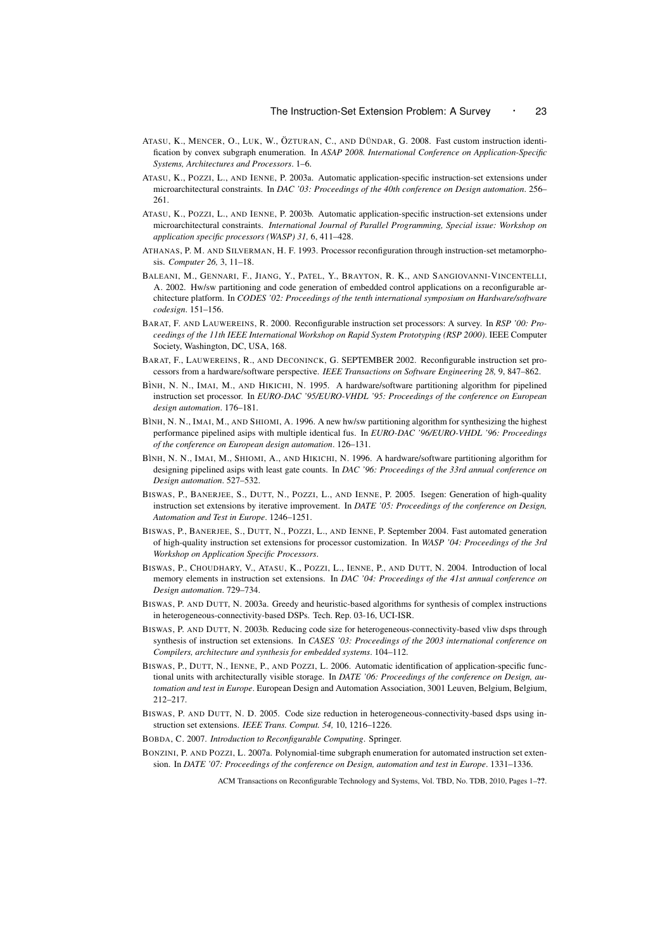- ATASU, K., MENCER, O., LUK, W., ÖZTURAN, C., AND DÜNDAR, G. 2008. Fast custom instruction identification by convex subgraph enumeration. In *ASAP 2008. International Conference on Application-Specific Systems, Architectures and Processors*. 1–6.
- ATASU, K., POZZI, L., AND IENNE, P. 2003a. Automatic application-specific instruction-set extensions under microarchitectural constraints. In *DAC '03: Proceedings of the 40th conference on Design automation*. 256– 261.
- ATASU, K., POZZI, L., AND IENNE, P. 2003b. Automatic application-specific instruction-set extensions under microarchitectural constraints. *International Journal of Parallel Programming, Special issue: Workshop on application specific processors (WASP) 31,* 6, 411–428.
- ATHANAS, P. M. AND SILVERMAN, H. F. 1993. Processor reconfiguration through instruction-set metamorphosis. *Computer 26,* 3, 11–18.
- BALEANI, M., GENNARI, F., JIANG, Y., PATEL, Y., BRAYTON, R. K., AND SANGIOVANNI-VINCENTELLI, A. 2002. Hw/sw partitioning and code generation of embedded control applications on a reconfigurable architecture platform. In *CODES '02: Proceedings of the tenth international symposium on Hardware/software codesign*. 151–156.
- BARAT, F. AND LAUWEREINS, R. 2000. Reconfigurable instruction set processors: A survey. In *RSP '00: Proceedings of the 11th IEEE International Workshop on Rapid System Prototyping (RSP 2000)*. IEEE Computer Society, Washington, DC, USA, 168.
- BARAT, F., LAUWEREINS, R., AND DECONINCK, G. SEPTEMBER 2002. Reconfigurable instruction set processors from a hardware/software perspective. *IEEE Transactions on Software Engineering 28,* 9, 847–862.
- BÌNH, N. N., IMAI, M., AND HIKICHI, N. 1995. A hardware/software partitioning algorithm for pipelined instruction set processor. In *EURO-DAC '95/EURO-VHDL '95: Proceedings of the conference on European design automation*. 176–181.
- B`INH, N. N., IMAI, M., AND SHIOMI, A. 1996. A new hw/sw partitioning algorithm for synthesizing the highest performance pipelined asips with multiple identical fus. In *EURO-DAC '96/EURO-VHDL '96: Proceedings of the conference on European design automation*. 126–131.
- B`INH, N. N., IMAI, M., SHIOMI, A., AND HIKICHI, N. 1996. A hardware/software partitioning algorithm for designing pipelined asips with least gate counts. In *DAC '96: Proceedings of the 33rd annual conference on Design automation*. 527–532.
- BISWAS, P., BANERJEE, S., DUTT, N., POZZI, L., AND IENNE, P. 2005. Isegen: Generation of high-quality instruction set extensions by iterative improvement. In *DATE '05: Proceedings of the conference on Design, Automation and Test in Europe*. 1246–1251.
- BISWAS, P., BANERJEE, S., DUTT, N., POZZI, L., AND IENNE, P. September 2004. Fast automated generation of high-quality instruction set extensions for processor customization. In *WASP '04: Proceedings of the 3rd Workshop on Application Specific Processors*.
- BISWAS, P., CHOUDHARY, V., ATASU, K., POZZI, L., IENNE, P., AND DUTT, N. 2004. Introduction of local memory elements in instruction set extensions. In *DAC '04: Proceedings of the 41st annual conference on Design automation*. 729–734.
- BISWAS, P. AND DUTT, N. 2003a. Greedy and heuristic-based algorithms for synthesis of complex instructions in heterogeneous-connectivity-based DSPs. Tech. Rep. 03-16, UCI-ISR.
- BISWAS, P. AND DUTT, N. 2003b. Reducing code size for heterogeneous-connectivity-based vliw dsps through synthesis of instruction set extensions. In *CASES '03: Proceedings of the 2003 international conference on Compilers, architecture and synthesis for embedded systems*. 104–112.
- BISWAS, P., DUTT, N., IENNE, P., AND POZZI, L. 2006. Automatic identification of application-specific functional units with architecturally visible storage. In *DATE '06: Proceedings of the conference on Design, automation and test in Europe*. European Design and Automation Association, 3001 Leuven, Belgium, Belgium, 212–217.
- BISWAS, P. AND DUTT, N. D. 2005. Code size reduction in heterogeneous-connectivity-based dsps using instruction set extensions. *IEEE Trans. Comput. 54,* 10, 1216–1226.
- BOBDA, C. 2007. *Introduction to Reconfigurable Computing*. Springer.
- BONZINI, P. AND POZZI, L. 2007a. Polynomial-time subgraph enumeration for automated instruction set extension. In *DATE '07: Proceedings of the conference on Design, automation and test in Europe*. 1331–1336.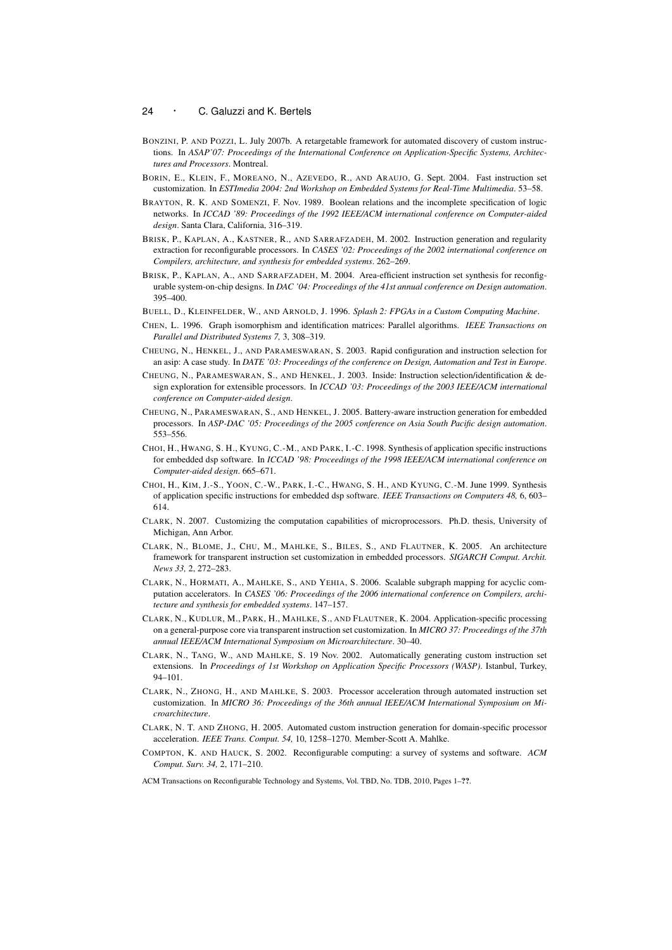- BONZINI, P. AND POZZI, L. July 2007b. A retargetable framework for automated discovery of custom instructions. In *ASAP'07: Proceedings of the International Conference on Application-Specific Systems, Architectures and Processors*. Montreal.
- BORIN, E., KLEIN, F., MOREANO, N., AZEVEDO, R., AND ARAUJO, G. Sept. 2004. Fast instruction set customization. In *ESTImedia 2004: 2nd Workshop on Embedded Systems for Real-Time Multimedia*. 53–58.
- BRAYTON, R. K. AND SOMENZI, F. Nov. 1989. Boolean relations and the incomplete specification of logic networks. In *ICCAD '89: Proceedings of the 1992 IEEE/ACM international conference on Computer-aided design*. Santa Clara, California, 316–319.
- BRISK, P., KAPLAN, A., KASTNER, R., AND SARRAFZADEH, M. 2002. Instruction generation and regularity extraction for reconfigurable processors. In *CASES '02: Proceedings of the 2002 international conference on Compilers, architecture, and synthesis for embedded systems*. 262–269.
- BRISK, P., KAPLAN, A., AND SARRAFZADEH, M. 2004. Area-efficient instruction set synthesis for reconfigurable system-on-chip designs. In *DAC '04: Proceedings of the 41st annual conference on Design automation*. 395–400.
- BUELL, D., KLEINFELDER, W., AND ARNOLD, J. 1996. *Splash 2: FPGAs in a Custom Computing Machine*.
- CHEN, L. 1996. Graph isomorphism and identification matrices: Parallel algorithms. *IEEE Transactions on Parallel and Distributed Systems 7,* 3, 308–319.
- CHEUNG, N., HENKEL, J., AND PARAMESWARAN, S. 2003. Rapid configuration and instruction selection for an asip: A case study. In *DATE '03: Proceedings of the conference on Design, Automation and Test in Europe*.
- CHEUNG, N., PARAMESWARAN, S., AND HENKEL, J. 2003. Inside: Instruction selection/identification & design exploration for extensible processors. In *ICCAD '03: Proceedings of the 2003 IEEE/ACM international conference on Computer-aided design*.
- CHEUNG, N., PARAMESWARAN, S., AND HENKEL, J. 2005. Battery-aware instruction generation for embedded processors. In *ASP-DAC '05: Proceedings of the 2005 conference on Asia South Pacific design automation*. 553–556.
- CHOI, H., HWANG, S. H., KYUNG, C.-M., AND PARK, I.-C. 1998. Synthesis of application specific instructions for embedded dsp software. In *ICCAD '98: Proceedings of the 1998 IEEE/ACM international conference on Computer-aided design*. 665–671.
- CHOI, H., KIM, J.-S., YOON, C.-W., PARK, I.-C., HWANG, S. H., AND KYUNG, C.-M. June 1999. Synthesis of application specific instructions for embedded dsp software. *IEEE Transactions on Computers 48,* 6, 603– 614.
- CLARK, N. 2007. Customizing the computation capabilities of microprocessors. Ph.D. thesis, University of Michigan, Ann Arbor.
- CLARK, N., BLOME, J., CHU, M., MAHLKE, S., BILES, S., AND FLAUTNER, K. 2005. An architecture framework for transparent instruction set customization in embedded processors. *SIGARCH Comput. Archit. News 33,* 2, 272–283.
- CLARK, N., HORMATI, A., MAHLKE, S., AND YEHIA, S. 2006. Scalable subgraph mapping for acyclic computation accelerators. In *CASES '06: Proceedings of the 2006 international conference on Compilers, architecture and synthesis for embedded systems*. 147–157.
- CLARK, N., KUDLUR, M., PARK, H., MAHLKE, S., AND FLAUTNER, K. 2004. Application-specific processing on a general-purpose core via transparent instruction set customization. In *MICRO 37: Proceedings of the 37th annual IEEE/ACM International Symposium on Microarchitecture*. 30–40.
- CLARK, N., TANG, W., AND MAHLKE, S. 19 Nov. 2002. Automatically generating custom instruction set extensions. In *Proceedings of 1st Workshop on Application Specific Processors (WASP)*. Istanbul, Turkey, 94–101.
- CLARK, N., ZHONG, H., AND MAHLKE, S. 2003. Processor acceleration through automated instruction set customization. In *MICRO 36: Proceedings of the 36th annual IEEE/ACM International Symposium on Microarchitecture*.
- CLARK, N. T. AND ZHONG, H. 2005. Automated custom instruction generation for domain-specific processor acceleration. *IEEE Trans. Comput. 54,* 10, 1258–1270. Member-Scott A. Mahlke.
- COMPTON, K. AND HAUCK, S. 2002. Reconfigurable computing: a survey of systems and software. *ACM Comput. Surv. 34,* 2, 171–210.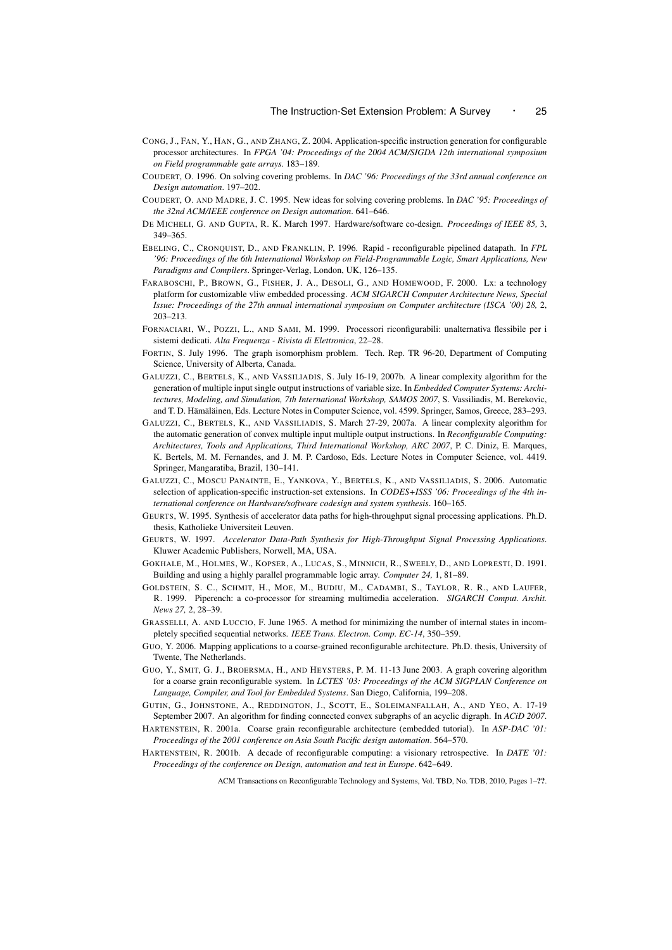- CONG, J., FAN, Y., HAN, G., AND ZHANG, Z. 2004. Application-specific instruction generation for configurable processor architectures. In *FPGA '04: Proceedings of the 2004 ACM/SIGDA 12th international symposium on Field programmable gate arrays*. 183–189.
- COUDERT, O. 1996. On solving covering problems. In *DAC '96: Proceedings of the 33rd annual conference on Design automation*. 197–202.
- COUDERT, O. AND MADRE, J. C. 1995. New ideas for solving covering problems. In *DAC '95: Proceedings of the 32nd ACM/IEEE conference on Design automation*. 641–646.
- DE MICHELI, G. AND GUPTA, R. K. March 1997. Hardware/software co-design. *Proceedings of IEEE 85,* 3, 349–365.
- EBELING, C., CRONQUIST, D., AND FRANKLIN, P. 1996. Rapid reconfigurable pipelined datapath. In *FPL '96: Proceedings of the 6th International Workshop on Field-Programmable Logic, Smart Applications, New Paradigms and Compilers*. Springer-Verlag, London, UK, 126–135.
- FARABOSCHI, P., BROWN, G., FISHER, J. A., DESOLI, G., AND HOMEWOOD, F. 2000. Lx: a technology platform for customizable vliw embedded processing. *ACM SIGARCH Computer Architecture News, Special Issue: Proceedings of the 27th annual international symposium on Computer architecture (ISCA '00) 28,* 2, 203–213.
- FORNACIARI, W., POZZI, L., AND SAMI, M. 1999. Processori riconfigurabili: unalternativa flessibile per i sistemi dedicati. *Alta Frequenza - Rivista di Elettronica*, 22–28.
- FORTIN, S. July 1996. The graph isomorphism problem. Tech. Rep. TR 96-20, Department of Computing Science, University of Alberta, Canada.
- GALUZZI, C., BERTELS, K., AND VASSILIADIS, S. July 16-19, 2007b. A linear complexity algorithm for the generation of multiple input single output instructions of variable size. In *Embedded Computer Systems: Architectures, Modeling, and Simulation, 7th International Workshop, SAMOS 2007*, S. Vassiliadis, M. Berekovic, and T. D. Hämäläinen, Eds. Lecture Notes in Computer Science, vol. 4599. Springer, Samos, Greece, 283-293.
- GALUZZI, C., BERTELS, K., AND VASSILIADIS, S. March 27-29, 2007a. A linear complexity algorithm for the automatic generation of convex multiple input multiple output instructions. In *Reconfigurable Computing: Architectures, Tools and Applications, Third International Workshop, ARC 2007*, P. C. Diniz, E. Marques, K. Bertels, M. M. Fernandes, and J. M. P. Cardoso, Eds. Lecture Notes in Computer Science, vol. 4419. Springer, Mangaratiba, Brazil, 130–141.
- GALUZZI, C., MOSCU PANAINTE, E., YANKOVA, Y., BERTELS, K., AND VASSILIADIS, S. 2006. Automatic selection of application-specific instruction-set extensions. In *CODES+ISSS '06: Proceedings of the 4th international conference on Hardware/software codesign and system synthesis*. 160–165.
- GEURTS, W. 1995. Synthesis of accelerator data paths for high-throughput signal processing applications. Ph.D. thesis, Katholieke Universiteit Leuven.
- GEURTS, W. 1997. *Accelerator Data-Path Synthesis for High-Throughput Signal Processing Applications*. Kluwer Academic Publishers, Norwell, MA, USA.
- GOKHALE, M., HOLMES, W., KOPSER, A., LUCAS, S., MINNICH, R., SWEELY, D., AND LOPRESTI, D. 1991. Building and using a highly parallel programmable logic array. *Computer 24,* 1, 81–89.
- GOLDSTEIN, S. C., SCHMIT, H., MOE, M., BUDIU, M., CADAMBI, S., TAYLOR, R. R., AND LAUFER, R. 1999. Piperench: a co-processor for streaming multimedia acceleration. *SIGARCH Comput. Archit. News 27,* 2, 28–39.
- GRASSELLI, A. AND LUCCIO, F. June 1965. A method for minimizing the number of internal states in incompletely specified sequential networks. *IEEE Trans. Electron. Comp. EC-14*, 350–359.
- GUO, Y. 2006. Mapping applications to a coarse-grained reconfigurable architecture. Ph.D. thesis, University of Twente, The Netherlands.
- GUO, Y., SMIT, G. J., BROERSMA, H., AND HEYSTERS, P. M. 11-13 June 2003. A graph covering algorithm for a coarse grain reconfigurable system. In *LCTES '03: Proceedings of the ACM SIGPLAN Conference on Language, Compiler, and Tool for Embedded Systems*. San Diego, California, 199–208.
- GUTIN, G., JOHNSTONE, A., REDDINGTON, J., SCOTT, E., SOLEIMANFALLAH, A., AND YEO, A. 17-19 September 2007. An algorithm for finding connected convex subgraphs of an acyclic digraph. In *ACiD 2007*.
- HARTENSTEIN, R. 2001a. Coarse grain reconfigurable architecture (embedded tutorial). In *ASP-DAC '01: Proceedings of the 2001 conference on Asia South Pacific design automation*. 564–570.
- HARTENSTEIN, R. 2001b. A decade of reconfigurable computing: a visionary retrospective. In *DATE '01: Proceedings of the conference on Design, automation and test in Europe*. 642–649.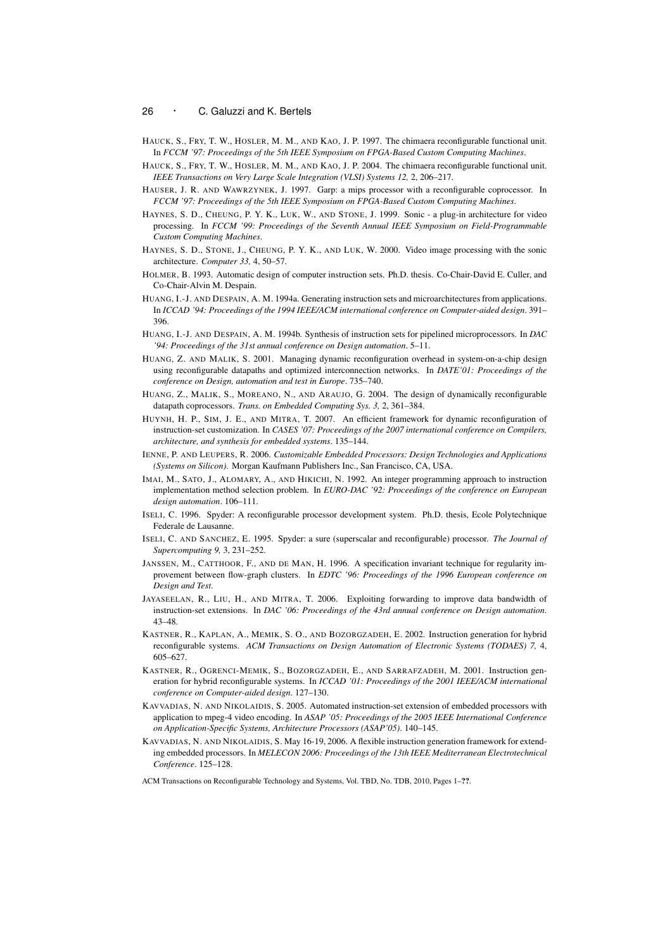- HAUCK, S., FRY, T. W., HOSLER, M. M., AND KAO, J. P. 1997. The chimaera reconfigurable functional unit. In *FCCM '97: Proceedings of the 5th IEEE Symposium on FPGA-Based Custom Computing Machines*.
- HAUCK, S., FRY, T. W., HOSLER, M. M., AND KAO, J. P. 2004. The chimaera reconfigurable functional unit. *IEEE Transactions on Very Large Scale Integration (VLSI) Systems 12,* 2, 206–217.
- HAUSER, J. R. AND WAWRZYNEK, J. 1997. Garp: a mips processor with a reconfigurable coprocessor. In *FCCM '97: Proceedings of the 5th IEEE Symposium on FPGA-Based Custom Computing Machines*.
- HAYNES, S. D., CHEUNG, P. Y. K., LUK, W., AND STONE, J. 1999. Sonic a plug-in architecture for video processing. In *FCCM '99: Proceedings of the Seventh Annual IEEE Symposium on Field-Programmable Custom Computing Machines*.
- HAYNES, S. D., STONE, J., CHEUNG, P. Y. K., AND LUK, W. 2000. Video image processing with the sonic architecture. *Computer 33,* 4, 50–57.
- HOLMER, B. 1993. Automatic design of computer instruction sets. Ph.D. thesis. Co-Chair-David E. Culler, and Co-Chair-Alvin M. Despain.
- HUANG, I.-J. AND DESPAIN, A. M. 1994a. Generating instruction sets and microarchitectures from applications. In *ICCAD '94: Proceedings of the 1994 IEEE/ACM international conference on Computer-aided design*. 391– 396.
- HUANG, I.-J. AND DESPAIN, A. M. 1994b. Synthesis of instruction sets for pipelined microprocessors. In *DAC '94: Proceedings of the 31st annual conference on Design automation*. 5–11.
- HUANG, Z. AND MALIK, S. 2001. Managing dynamic reconfiguration overhead in system-on-a-chip design using reconfigurable datapaths and optimized interconnection networks. In *DATE'01: Proceedings of the conference on Design, automation and test in Europe*. 735–740.
- HUANG, Z., MALIK, S., MOREANO, N., AND ARAUJO, G. 2004. The design of dynamically reconfigurable datapath coprocessors. *Trans. on Embedded Computing Sys. 3,* 2, 361–384.
- HUYNH, H. P., SIM, J. E., AND MITRA, T. 2007. An efficient framework for dynamic reconfiguration of instruction-set customization. In *CASES '07: Proceedings of the 2007 international conference on Compilers, architecture, and synthesis for embedded systems*. 135–144.
- IENNE, P. AND LEUPERS, R. 2006. *Customizable Embedded Processors: Design Technologies and Applications (Systems on Silicon)*. Morgan Kaufmann Publishers Inc., San Francisco, CA, USA.
- IMAI, M., SATO, J., ALOMARY, A., AND HIKICHI, N. 1992. An integer programming approach to instruction implementation method selection problem. In *EURO-DAC '92: Proceedings of the conference on European design automation*. 106–111.
- ISELI, C. 1996. Spyder: A reconfigurable processor development system. Ph.D. thesis, Ecole Polytechnique Federale de Lausanne.
- ISELI, C. AND SANCHEZ, E. 1995. Spyder: a sure (superscalar and reconfigurable) processor. *The Journal of Supercomputing 9,* 3, 231–252.
- JANSSEN, M., CATTHOOR, F., AND DE MAN, H. 1996. A specification invariant technique for regularity improvement between flow-graph clusters. In *EDTC '96: Proceedings of the 1996 European conference on Design and Test*.
- JAYASEELAN, R., LIU, H., AND MITRA, T. 2006. Exploiting forwarding to improve data bandwidth of instruction-set extensions. In *DAC '06: Proceedings of the 43rd annual conference on Design automation*. 43–48.
- KASTNER, R., KAPLAN, A., MEMIK, S. O., AND BOZORGZADEH, E. 2002. Instruction generation for hybrid reconfigurable systems. *ACM Transactions on Design Automation of Electronic Systems (TODAES) 7,* 4, 605–627.
- KASTNER, R., OGRENCI-MEMIK, S., BOZORGZADEH, E., AND SARRAFZADEH, M. 2001. Instruction generation for hybrid reconfigurable systems. In *ICCAD '01: Proceedings of the 2001 IEEE/ACM international conference on Computer-aided design*. 127–130.
- KAVVADIAS, N. AND NIKOLAIDIS, S. 2005. Automated instruction-set extension of embedded processors with application to mpeg-4 video encoding. In *ASAP '05: Proceedings of the 2005 IEEE International Conference on Application-Specific Systems, Architecture Processors (ASAP'05)*. 140–145.
- KAVVADIAS, N. AND NIKOLAIDIS, S. May 16-19, 2006. A flexible instruction generation framework for extending embedded processors. In *MELECON 2006: Proceedings of the 13th IEEE Mediterranean Electrotechnical Conference*. 125–128.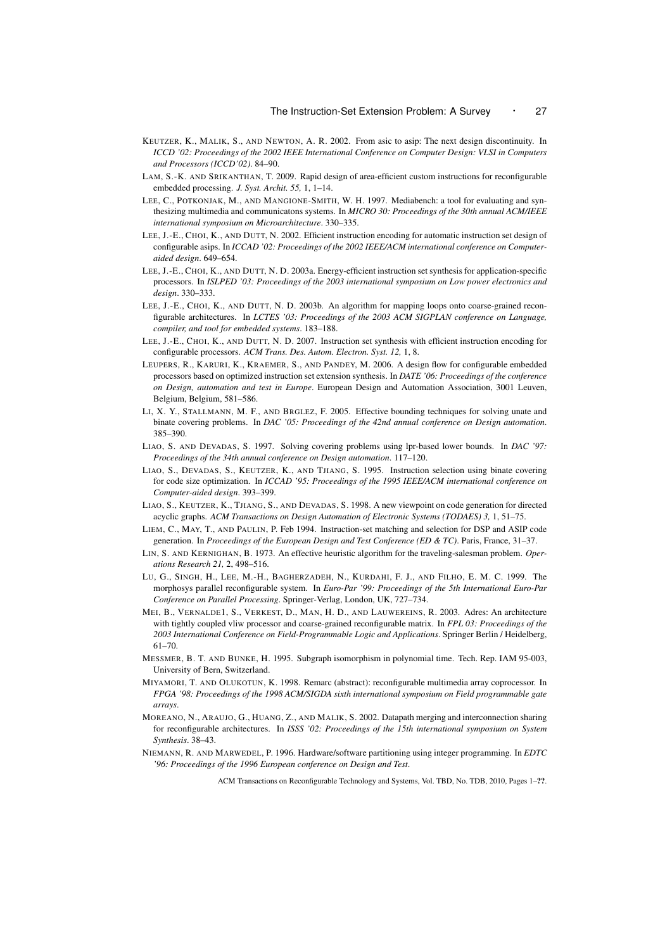- KEUTZER, K., MALIK, S., AND NEWTON, A. R. 2002. From asic to asip: The next design discontinuity. In *ICCD '02: Proceedings of the 2002 IEEE International Conference on Computer Design: VLSI in Computers and Processors (ICCD'02)*. 84–90.
- LAM, S.-K. AND SRIKANTHAN, T. 2009. Rapid design of area-efficient custom instructions for reconfigurable embedded processing. *J. Syst. Archit. 55,* 1, 1–14.
- LEE, C., POTKONJAK, M., AND MANGIONE-SMITH, W. H. 1997. Mediabench: a tool for evaluating and synthesizing multimedia and communicatons systems. In *MICRO 30: Proceedings of the 30th annual ACM/IEEE international symposium on Microarchitecture*. 330–335.
- LEE, J.-E., CHOI, K., AND DUTT, N. 2002. Efficient instruction encoding for automatic instruction set design of configurable asips. In *ICCAD '02: Proceedings of the 2002 IEEE/ACM international conference on Computeraided design*. 649–654.
- LEE, J.-E., CHOI, K., AND DUTT, N. D. 2003a. Energy-efficient instruction set synthesis for application-specific processors. In *ISLPED '03: Proceedings of the 2003 international symposium on Low power electronics and design*. 330–333.
- LEE, J.-E., CHOI, K., AND DUTT, N. D. 2003b. An algorithm for mapping loops onto coarse-grained reconfigurable architectures. In *LCTES '03: Proceedings of the 2003 ACM SIGPLAN conference on Language, compiler, and tool for embedded systems*. 183–188.
- LEE, J.-E., CHOI, K., AND DUTT, N. D. 2007. Instruction set synthesis with efficient instruction encoding for configurable processors. *ACM Trans. Des. Autom. Electron. Syst. 12,* 1, 8.
- LEUPERS, R., KARURI, K., KRAEMER, S., AND PANDEY, M. 2006. A design flow for configurable embedded processors based on optimized instruction set extension synthesis. In *DATE '06: Proceedings of the conference on Design, automation and test in Europe*. European Design and Automation Association, 3001 Leuven, Belgium, Belgium, 581–586.
- LI, X. Y., STALLMANN, M. F., AND BRGLEZ, F. 2005. Effective bounding techniques for solving unate and binate covering problems. In *DAC '05: Proceedings of the 42nd annual conference on Design automation*. 385–390.
- LIAO, S. AND DEVADAS, S. 1997. Solving covering problems using lpr-based lower bounds. In *DAC '97: Proceedings of the 34th annual conference on Design automation*. 117–120.
- LIAO, S., DEVADAS, S., KEUTZER, K., AND TJIANG, S. 1995. Instruction selection using binate covering for code size optimization. In *ICCAD '95: Proceedings of the 1995 IEEE/ACM international conference on Computer-aided design*. 393–399.
- LIAO, S., KEUTZER, K., TJIANG, S., AND DEVADAS, S. 1998. A new viewpoint on code generation for directed acyclic graphs. *ACM Transactions on Design Automation of Electronic Systems (TODAES) 3,* 1, 51–75.
- LIEM, C., MAY, T., AND PAULIN, P. Feb 1994. Instruction-set matching and selection for DSP and ASIP code generation. In *Proceedings of the European Design and Test Conference (ED & TC)*. Paris, France, 31–37.
- LIN, S. AND KERNIGHAN, B. 1973. An effective heuristic algorithm for the traveling-salesman problem. *Operations Research 21,* 2, 498–516.
- LU, G., SINGH, H., LEE, M.-H., BAGHERZADEH, N., KURDAHI, F. J., AND FILHO, E. M. C. 1999. The morphosys parallel reconfigurable system. In *Euro-Par '99: Proceedings of the 5th International Euro-Par Conference on Parallel Processing*. Springer-Verlag, London, UK, 727–734.
- MEI, B., VERNALDE1, S., VERKEST, D., MAN, H. D., AND LAUWEREINS, R. 2003. Adres: An architecture with tightly coupled vliw processor and coarse-grained reconfigurable matrix. In *FPL 03: Proceedings of the 2003 International Conference on Field-Programmable Logic and Applications*. Springer Berlin / Heidelberg, 61–70.
- MESSMER, B. T. AND BUNKE, H. 1995. Subgraph isomorphism in polynomial time. Tech. Rep. IAM 95-003, University of Bern, Switzerland.
- MIYAMORI, T. AND OLUKOTUN, K. 1998. Remarc (abstract): reconfigurable multimedia array coprocessor. In *FPGA '98: Proceedings of the 1998 ACM/SIGDA sixth international symposium on Field programmable gate arrays*.
- MOREANO, N., ARAUJO, G., HUANG, Z., AND MALIK, S. 2002. Datapath merging and interconnection sharing for reconfigurable architectures. In *ISSS '02: Proceedings of the 15th international symposium on System Synthesis*. 38–43.
- NIEMANN, R. AND MARWEDEL, P. 1996. Hardware/software partitioning using integer programming. In *EDTC '96: Proceedings of the 1996 European conference on Design and Test*.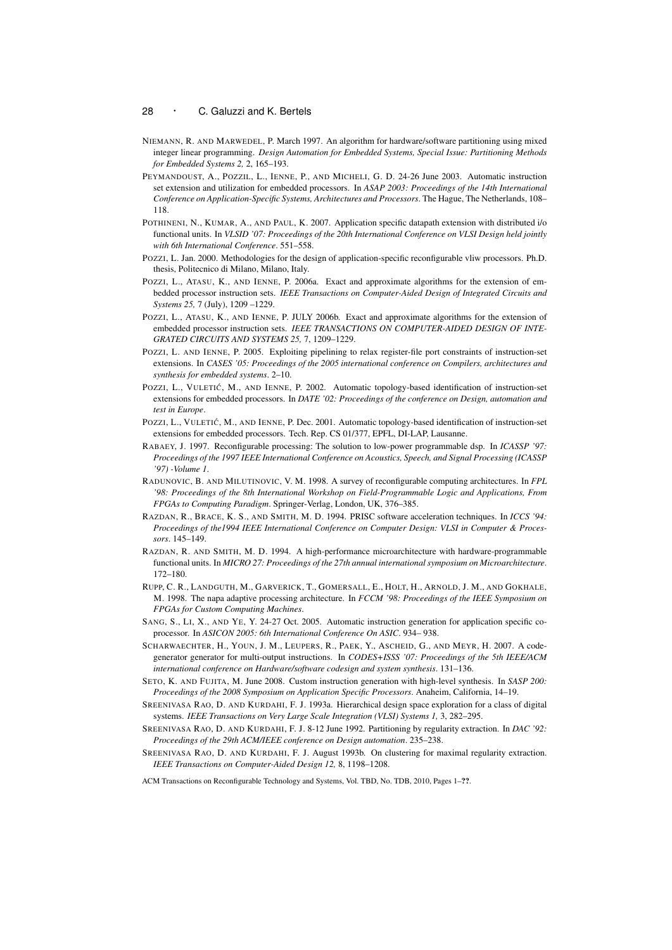- NIEMANN, R. AND MARWEDEL, P. March 1997. An algorithm for hardware/software partitioning using mixed integer linear programming. *Design Automation for Embedded Systems, Special Issue: Partitioning Methods for Embedded Systems 2,* 2, 165–193.
- PEYMANDOUST, A., POZZIL, L., IENNE, P., AND MICHELI, G. D. 24-26 June 2003. Automatic instruction set extension and utilization for embedded processors. In *ASAP 2003: Proceedings of the 14th International Conference on Application-Specific Systems, Architectures and Processors*. The Hague, The Netherlands, 108– 118.
- POTHINENI, N., KUMAR, A., AND PAUL, K. 2007. Application specific datapath extension with distributed i/o functional units. In *VLSID '07: Proceedings of the 20th International Conference on VLSI Design held jointly with 6th International Conference*. 551–558.
- POZZI, L. Jan. 2000. Methodologies for the design of application-specific reconfigurable vliw processors. Ph.D. thesis, Politecnico di Milano, Milano, Italy.
- POZZI, L., ATASU, K., AND IENNE, P. 2006a. Exact and approximate algorithms for the extension of embedded processor instruction sets. *IEEE Transactions on Computer-Aided Design of Integrated Circuits and Systems 25,* 7 (July), 1209 –1229.
- POZZI, L., ATASU, K., AND IENNE, P. JULY 2006b. Exact and approximate algorithms for the extension of embedded processor instruction sets. *IEEE TRANSACTIONS ON COMPUTER-AIDED DESIGN OF INTE-GRATED CIRCUITS AND SYSTEMS 25,* 7, 1209–1229.
- POZZI, L. AND IENNE, P. 2005. Exploiting pipelining to relax register-file port constraints of instruction-set extensions. In *CASES '05: Proceedings of the 2005 international conference on Compilers, architectures and synthesis for embedded systems*. 2–10.
- POZZI, L., VULETIĆ, M., AND IENNE, P. 2002. Automatic topology-based identification of instruction-set extensions for embedded processors. In *DATE '02: Proceedings of the conference on Design, automation and test in Europe*.
- POZZI, L., VULETIĆ, M., AND IENNE, P. Dec. 2001. Automatic topology-based identification of instruction-set extensions for embedded processors. Tech. Rep. CS 01/377, EPFL, DI-LAP, Lausanne.
- RABAEY, J. 1997. Reconfigurable processing: The solution to low-power programmable dsp. In *ICASSP '97: Proceedings of the 1997 IEEE International Conference on Acoustics, Speech, and Signal Processing (ICASSP '97) -Volume 1*.
- RADUNOVIC, B. AND MILUTINOVIC, V. M. 1998. A survey of reconfigurable computing architectures. In *FPL '98: Proceedings of the 8th International Workshop on Field-Programmable Logic and Applications, From FPGAs to Computing Paradigm*. Springer-Verlag, London, UK, 376–385.
- RAZDAN, R., BRACE, K. S., AND SMITH, M. D. 1994. PRISC software acceleration techniques. In *ICCS '94: Proceedings of the1994 IEEE International Conference on Computer Design: VLSI in Computer & Processors*. 145–149.
- RAZDAN, R. AND SMITH, M. D. 1994. A high-performance microarchitecture with hardware-programmable functional units. In *MICRO 27: Proceedings of the 27th annual international symposium on Microarchitecture*. 172–180.
- RUPP, C. R., LANDGUTH, M., GARVERICK, T., GOMERSALL, E., HOLT, H., ARNOLD, J. M., AND GOKHALE, M. 1998. The napa adaptive processing architecture. In *FCCM '98: Proceedings of the IEEE Symposium on FPGAs for Custom Computing Machines*.
- SANG, S., LI, X., AND YE, Y. 24-27 Oct. 2005. Automatic instruction generation for application specific coprocessor. In *ASICON 2005: 6th International Conference On ASIC*. 934– 938.
- SCHARWAECHTER, H., YOUN, J. M., LEUPERS, R., PAEK, Y., ASCHEID, G., AND MEYR, H. 2007. A codegenerator generator for multi-output instructions. In *CODES+ISSS '07: Proceedings of the 5th IEEE/ACM international conference on Hardware/software codesign and system synthesis*. 131–136.
- SETO, K. AND FUJITA, M. June 2008. Custom instruction generation with high-level synthesis. In *SASP 200: Proceedings of the 2008 Symposium on Application Specific Processors*. Anaheim, California, 14–19.
- SREENIVASA RAO, D. AND KURDAHI, F. J. 1993a. Hierarchical design space exploration for a class of digital systems. *IEEE Transactions on Very Large Scale Integration (VLSI) Systems 1,* 3, 282–295.
- SREENIVASA RAO, D. AND KURDAHI, F. J. 8-12 June 1992. Partitioning by regularity extraction. In *DAC '92: Proceedings of the 29th ACM/IEEE conference on Design automation*. 235–238.
- SREENIVASA RAO, D. AND KURDAHI, F. J. August 1993b. On clustering for maximal regularity extraction. *IEEE Transactions on Computer-Aided Design 12,* 8, 1198–1208.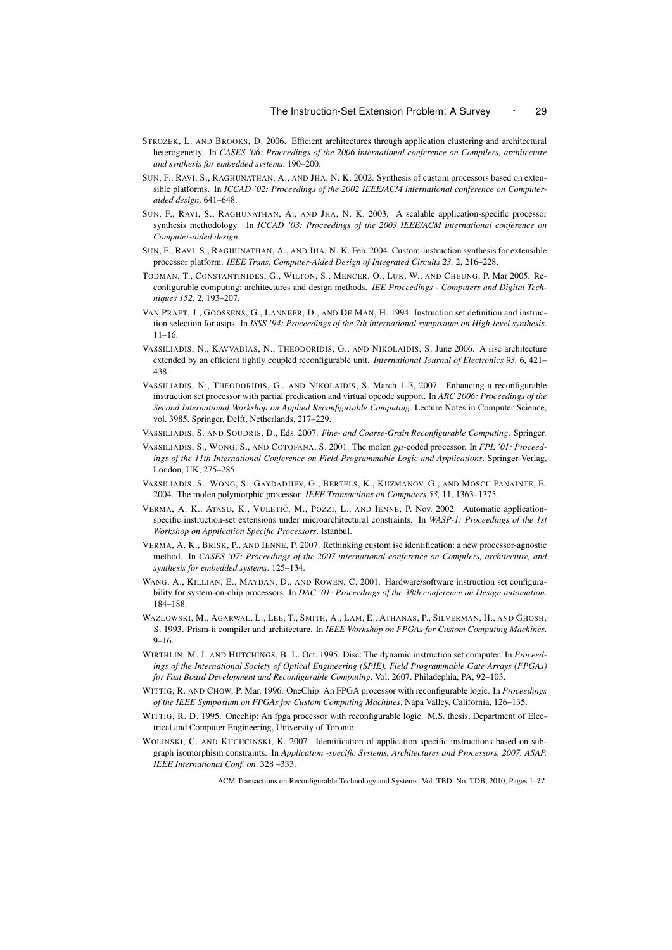- STROZEK, L. AND BROOKS, D. 2006. Efficient architectures through application clustering and architectural heterogeneity. In *CASES '06: Proceedings of the 2006 international conference on Compilers, architecture and synthesis for embedded systems*. 190–200.
- SUN, F., RAVI, S., RAGHUNATHAN, A., AND JHA, N. K. 2002. Synthesis of custom processors based on extensible platforms. In *ICCAD '02: Proceedings of the 2002 IEEE/ACM international conference on Computeraided design*. 641–648.
- SUN, F., RAVI, S., RAGHUNATHAN, A., AND JHA, N. K. 2003. A scalable application-specific processor synthesis methodology. In *ICCAD '03: Proceedings of the 2003 IEEE/ACM international conference on Computer-aided design*.
- SUN, F., RAVI, S., RAGHUNATHAN, A., AND JHA, N. K. Feb. 2004. Custom-instruction synthesis for extensible processor platform. *IEEE Trans. Computer-Aided Design of Integrated Circuits 23,* 2, 216–228.
- TODMAN, T., CONSTANTINIDES, G., WILTON, S., MENCER, O., LUK, W., AND CHEUNG, P. Mar 2005. Reconfigurable computing: architectures and design methods. *IEE Proceedings - Computers and Digital Techniques 152,* 2, 193–207.
- VAN PRAET, J., GOOSSENS, G., LANNEER, D., AND DE MAN, H. 1994. Instruction set definition and instruction selection for asips. In *ISSS '94: Proceedings of the 7th international symposium on High-level synthesis*. 11–16.
- VASSILIADIS, N., KAVVADIAS, N., THEODORIDIS, G., AND NIKOLAIDIS, S. June 2006. A risc architecture extended by an efficient tightly coupled reconfigurable unit. *International Journal of Electronics 93,* 6, 421– 438.
- VASSILIADIS, N., THEODORIDIS, G., AND NIKOLAIDIS, S. March 1–3, 2007. Enhancing a reconfigurable instruction set processor with partial predication and virtual opcode support. In *ARC 2006: Proceedings of the Second International Workshop on Applied Reconfigurable Computing*. Lecture Notes in Computer Science, vol. 3985. Springer, Delft, Netherlands, 217–229.
- VASSILIADIS, S. AND SOUDRIS, D., Eds. 2007. *Fine- and Coarse-Grain Reconfigurable Computing*. Springer.
- VASSILIADIS, S., WONG, S., AND COTOFANA, S. 2001. The molen *ϱµ*-coded processor. In *FPL '01: Proceedings of the 11th International Conference on Field-Programmable Logic and Applications*. Springer-Verlag, London, UK, 275–285.
- VASSILIADIS, S., WONG, S., GAYDADJIEV, G., BERTELS, K., KUZMANOV, G., AND MOSCU PANAINTE, E. 2004. The molen polymorphic processor. *IEEE Transactions on Computers 53,* 11, 1363–1375.
- VERMA, A. K., ATASU, K., VULETIC´, M., POZZI, L., AND IENNE, P. Nov. 2002. Automatic applicationspecific instruction-set extensions under microarchitectural constraints. In *WASP-1: Proceedings of the 1st Workshop on Application Specific Processors*. Istanbul.
- VERMA, A. K., BRISK, P., AND IENNE, P. 2007. Rethinking custom ise identification: a new processor-agnostic method. In *CASES '07: Proceedings of the 2007 international conference on Compilers, architecture, and synthesis for embedded systems*. 125–134.
- WANG, A., KILLIAN, E., MAYDAN, D., AND ROWEN, C. 2001. Hardware/software instruction set configurability for system-on-chip processors. In *DAC '01: Proceedings of the 38th conference on Design automation*. 184–188.
- WAZLOWSKI, M., AGARWAL, L., LEE, T., SMITH, A., LAM, E., ATHANAS, P., SILVERMAN, H., AND GHOSH, S. 1993. Prism-ii compiler and architecture. In *IEEE Workshop on FPGAs for Custom Computing Machines*. 9–16.
- WIRTHLIN, M. J. AND HUTCHINGS, B. L. Oct. 1995. Disc: The dynamic instruction set computer. In *Proceedings of the International Society of Optical Engineering (SPIE). Field Programmable Gate Arrays (FPGAs) for Fast Board Development and Reconfigurable Computing*. Vol. 2607. Philadephia, PA, 92–103.
- WITTIG, R. AND CHOW, P. Mar. 1996. OneChip: An FPGA processor with reconfigurable logic. In *Proceedings of the IEEE Symposium on FPGAs for Custom Computing Machines*. Napa Valley, California, 126–135.
- WITTIG, R. D. 1995. Onechip: An fpga processor with reconfigurable logic. M.S. thesis, Department of Electrical and Computer Engineering, University of Toronto.
- WOLINSKI, C. AND KUCHCINSKI, K. 2007. Identification of application specific instructions based on subgraph isomorphism constraints. In *Application -specific Systems, Architectures and Processors, 2007. ASAP. IEEE International Conf. on*. 328 –333.